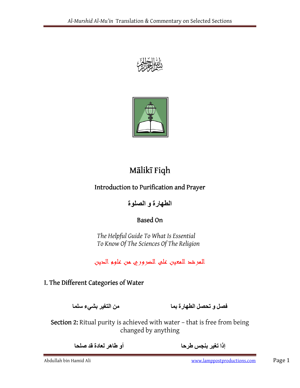



# Mālikī Fiqh

## Introduction to Purification and Prayer

الطھارة و الصلوة

## **Based On**

The Helpful Guide To What Is Essential To Know Of The Sciences Of The Religion

للفرشد للمعين على الضروري من علوم الدين

## I. The Different Categories of Water

فصل و تحصل الطھارة بما من التغير بشيء سلما

Section 2: Ritual purity is achieved with water - that is free from being changed by anything

إذا تغير بنجس طرحا أو طاھر لعادة قد صلحا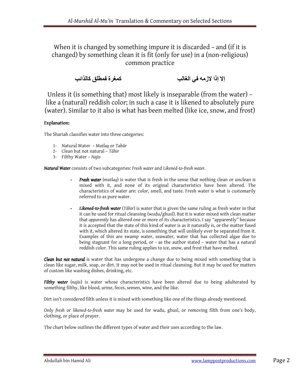When it is changed by something impure it is discarded - and (if it is changed) by something clean it is fit (only for use) in a (non-religious) common practice

```
إلا إذا لازمه في الغالب
```
Unless it (is something that) most likely is inseparable (from the water) – like a (natural) reddish color; in such a case it is likened to absolutely pure (water). Similar to it also is what has been melted (like ice, snow, and frost)

### Explanation:

The Shariah classifies water into three categories:

- 1- Natural Water Mutlaq or Tahūr
- 2- Clean but not natural Tāhir
- 3- Filthy Water Najis

Natural Water consists of two subcategories: Fresh water and Likened-to-fresh water.

- *Fresh water* (mutlaq) is water that is fresh in the sense that nothing clean or unclean is mixed with it, and none of its original characteristics have been altered. The characteristics of water are: color, smell, and taste. Fresh water is what is customarily referred to as pure water.
- **-** Likened-to-fresh water (Tāhir) is water that is given the same ruling as fresh water in that it can be used for ritual cleansing (wudu/ghusl). But it is water mixed with clean matter that apparently has altered one or more of its characteristics. I say "apparently" because it is accepted that the state of this kind of water is as it naturally is, or the matter fused with it, which altered its state, is something that will unlikely ever be separated from it. Examples of this are swamp water, seawater, water that has collected algae due to being stagnant for a long period, or - as the author stated – water that has a natural reddish color. This same ruling applies to ice, snow, and frost that have melted.

Clean but not natural is water that has undergone a change due to being mixed with something that is clean like sugar, milk, soap, or dirt. It may not be used in ritual cleansing. But it may be used for matters of custom like washing dishes, drinking, etc.

Filthy water (najis) is water whose characteristics have been altered due to being adulterated by something filthy, like blood, urine, feces, semen, wine, and the like.

Dirt isn't considered filth unless it is mixed with something like one of the things already mentioned.

Only fresh or likened-to-fresh water may be used for wudu, ghusl, or removing filth from one's body, clothing, or place of prayer.

The chart below outlines the different types of water and their uses according to the law.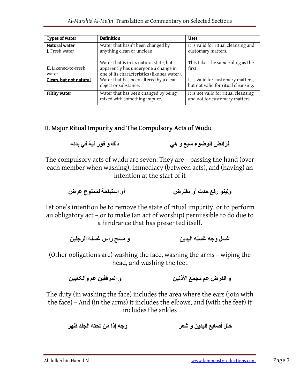| Types of water                  | Definition                                                                                                                      | <b>Uses</b>                                                               |
|---------------------------------|---------------------------------------------------------------------------------------------------------------------------------|---------------------------------------------------------------------------|
| Natural water<br>I. Fresh water | Water that hasn't been changed by<br>anything clean or unclean.                                                                 | It is valid for ritual cleansing and<br>customary matters.                |
| II. Likened-to-fresh<br>water   | Water that is in its natural state, but<br>apparently has undergone a change in<br>one of its characteristics (like sea water). | This takes the same ruling as the<br>first.                               |
| Clean, but not natural          | Water that has been altered by a clean<br>object or substance.                                                                  | It is valid for customary matters,<br>but not valid for ritual cleansing. |
| Filthy water                    | Water that has been changed by being<br>mixed with something impure.                                                            | It is not valid for ritual cleansing<br>and not for customary matters.    |

## II. Major Ritual Impurity and The Compulsory Acts of Wudu

فرائض الوضوء سبع و ھي دلك و فور نية في بدئه

The compulsory acts of wudu are seven: They are – passing the hand (over each member when washing), immediacy (between acts), and (having) an intention at the start of it

ولينو رفع حدث أو مفترض أو استباحة لممنوع عرض

Let one's intention be to remove the state of ritual impurity, or to perform an obligatory act – or to make (an act of worship) permissible to do due to a hindrance that has presented itself.

غسل وجه غسله اليدين و مسح رأس غسله الرجلين

(Other obligations are) washing the face, washing the arms – wiping the head, and washing the feet

و الفرض عم مجمع الأذنين و المرفقين عم والكعبين

The duty (in washing the face) includes the area where the ears (join with the face) – And (in the arms) it includes the elbows, and (with the feet) it includes the ankles

خلل أصابع اليدين و شعر وجه إذا من تحته الجلد ظهر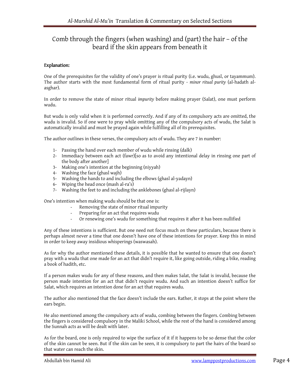## Comb through the fingers (when washing) and (part) the hair – of the beard if the skin appears from beneath it

### Explanation:

One of the prerequisites for the validity of one's prayer is ritual purity (i.e. wudu, ghusl, or tayammum). The author starts with the most fundamental form of ritual purity - minor ritual purity (al-hadath alasghar).

In order to remove the state of minor ritual impurity before making prayer (Salat), one must perform wudu.

But wudu is only valid when it is performed correctly. And if any of its compulsory acts are omitted, the wudu is invalid. So if one were to pray while omitting any of the compulsory acts of wudu, the Salat is automatically invalid and must be prayed again while fulfilling all of its prerequisites.

The author outlines in these verses, the compulsory acts of wudu. They are 7 in number:

- 1- Passing the hand over each member of wudu while rinsing (dalk)
- 2- Immediacy between each act (fawr)[so as to avoid any intentional delay in rinsing one part of the body after another]
- 3- Making one's intention at the beginning (niyyah)
- 4- Washing the face (ghasl wajh)
- 5- Washing the hands to and including the elbows (ghasl al-yadayn)
- 6- Wiping the head once (mash al-ra's)
- 7- Washing the feet to and including the anklebones (ghasl al-rijlayn)

One's intention when making wudu should be that one is:

- Removing the state of minor ritual impurity
- Preparing for an act that requires wudu
- Or renewing one's wudu for something that requires it after it has been nullified

Any of these intentions is sufficient. But one need not focus much on these particulars, because there is perhaps almost never a time that one doesn't have one of these intentions for prayer. Keep this in mind in order to keep away insidious whisperings (waswasah).

As for why the author mentioned these details, it is possible that he wanted to ensure that one doesn't pray with a wudu that one made for an act that didn't require it, like going outside, riding a bike, reading a book of hadith, etc.

If a person makes wudu for any of these reasons, and then makes Salat, the Salat is invalid, because the person made intention for an act that didn't require wudu. And such an intention doesn't suffice for Salat, which requires an intention done for an act that requires wudu.

The author also mentioned that the face doesn't include the ears. Rather, it stops at the point where the ears begin.

He also mentioned among the compulsory acts of wudu, combing between the fingers. Combing between the fingers is considered compulsory in the Maliki School, while the rest of the hand is considered among the Sunnah acts as will be dealt with later.

As for the beard, one is only required to wipe the surface of it if it happens to be so dense that the color of the skin cannot be seen. But if the skin can be seen, it is compulsory to part the hairs of the beard so that water can reach the skin.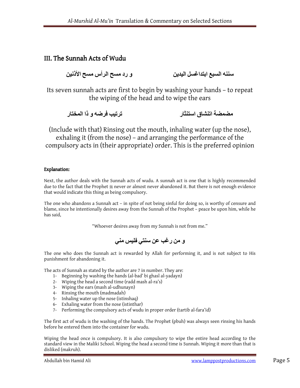## III. The Sunnah Acts of Wudu

سننه السبع ابتداغسل اليدين و رد مسح الأردنين مسح الأذنين

Its seven sunnah acts are first to begin by washing your hands – to repeat the wiping of the head and to wipe the ears

مضمضة اتنشاق استنثار ترتيب فرضه و ذا المختار

(Include with that) Rinsing out the mouth, inhaling water (up the nose), exhaling it (from the nose) – and arranging the performance of the compulsory acts in (their appropriate) order. This is the preferred opinion

### Explanation:

Next, the author deals with the Sunnah acts of wudu. A sunnah act is one that is highly recommended due to the fact that the Prophet  $\ast$  never or almost never abandoned it. But there is not enough evidence that would indicate this thing as being compulsory.

The one who abandons a Sunnah act – in spite of not being sinful for doing so, is worthy of censure and blame, since he intentionally desires away from the Sunnah of the Prophet – peace be upon him, while he has said,

"Whoever desires away from my Sunnah is not from me."

و من رغب عن سنتي فليس مني

The one who does the Sunnah act is rewarded by Allah for performing it, and is not subject to His punishment for abandoning it.

The acts of Sunnah as stated by the author are 7 in number. They are:

- 1- Beginning by washing the hands (al-bad' bi ghasl al-yadayn)
- 2- Wiping the head a second time (radd mash al-ra's)
- 3- Wiping the ears (mash al-udhunayn)
- 4- Rinsing the mouth (madmadah)
- 5- Inhaling water up the nose (istinshaq)
- 6- Exhaling water from the nose (istinthar)
- 7- Performing the compulsory acts of wudu in proper order (tartib al-fara'id)

The first act of wudu is the washing of the hands. The Prophet (pbuh) was always seen rinsing his hands before he entered them into the container for wudu.

Wiping the head once is compulsory. It is also compulsory to wipe the entire head according to the standard view in the Maliki School. Wiping the head a second time is Sunnah. Wiping it more than that is disliked (makruh).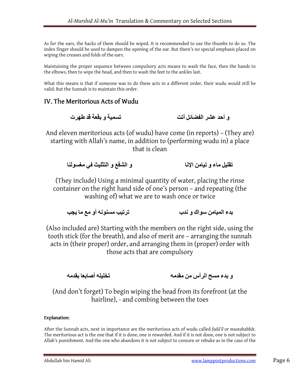As for the ears, the backs of them should be wiped. It is recommended to use the thumbs to do so. The index finger should be used to dampen the opening of the ear. But there's no special emphasis placed on wiping the creases and folds of the ears.

Maintaining the proper sequence between compulsory acts means to wash the face, then the hands to the elbows, then to wipe the head, and then to wash the feet to the ankles last.

What this means is that if someone was to do these acts in a different order, their wudu would still be valid. But the Sunnah is to maintain this order.

## IV. The Meritorious Acts of Wudu

و أحد عشر الفضائل أتت تسمية و بقعة قد طھرت

And eleven meritorious acts (of wudu) have come (in reports) – (They are) starting with Allah's name, in addition to (performing wudu in) a place that is clean

تقليل ماء و تيامن اRنا و الشفع و التثليث في مغسولنا

(They include) Using a minimal quantity of water, placing the rinse container on the right hand side of one's person – and repeating (the washing of) what we are to wash once or twice

بدء الميامن سواك و ندب ترتيب مسنونه أو مع ما يجب

(Also included are) Starting with the members on the right side, using the tooth stick (for the breath), and also of merit are – arranging the sunnah acts in (their proper) order, and arranging them in (proper) order with those acts that are compulsory

و بدء مسح الرأس من مقدمه تخليله أصابعا بقدمه

(And don't forget) To begin wiping the head from its forefront (at the hairline), - and combing between the toes

### Explanation:

After the Sunnah acts, next in importance are the meritorious acts of wudu called fadā'il or mustahabbāt. The meritorious act is the one that if it is done, one is rewarded. And if it is not done, one is not subject to Allah's punishment. And the one who abandons it is not subject to censure or rebuke as in the case of the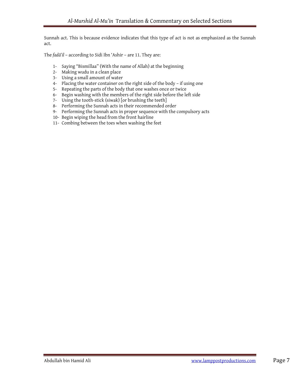Sunnah act. This is because evidence indicates that this type of act is not as emphasized as the Sunnah act.

The fadā'il – according to Sidi Ibn 'Ashir – are 11. They are:

- 1- Saying "Bismillaa" (With the name of Allah) at the beginning
- 2- Making wudu in a clean place
- 3- Using a small amount of water
- 4- Placing the water container on the right side of the body if using one
- 5- Repeating the parts of the body that one washes once or twice
- 6- Begin washing with the members of the right side before the left side
- 7- Using the tooth-stick (siwak) [or brushing the teeth]
- 8- Performing the Sunnah acts in their recommended order
- 9- Performing the Sunnah acts in proper sequence with the compulsory acts
- 10- Begin wiping the head from the front hairline
- 11- Combing between the toes when washing the feet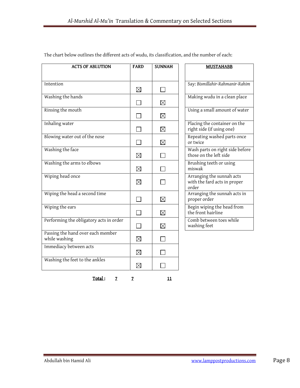| <b>ACTS OF ABLUTION</b>                            | <b>FARD</b> | <b>SUNNAH</b> | <b>MUSTAHABB</b>                                                   |
|----------------------------------------------------|-------------|---------------|--------------------------------------------------------------------|
|                                                    |             |               |                                                                    |
| Intention                                          | $\boxtimes$ |               | Say: Bismillahir-Rahmanir-Rahim                                    |
| Washing the hands                                  |             | ⊠             | Making wudu in a clean place                                       |
| Rinsing the mouth                                  |             | $\boxtimes$   | Using a small amount of water                                      |
| Inhaling water                                     |             | $\boxtimes$   | Placing the container on the<br>right side (if using one)          |
| Blowing water out of the nose                      |             | ⊠             | Repeating washed parts once<br>or twice                            |
| Washing the face                                   | ⊠           |               | Wash parts on right side before<br>those on the left side          |
| Washing the arms to elbows                         | $\boxtimes$ |               | Brushing teeth or using<br>miswak                                  |
| Wiping head once                                   | ⊠           |               | Arranging the sunnah acts<br>with the fard acts in proper<br>order |
| Wiping the head a second time                      |             | $\boxtimes$   | Arranging the sunnah acts in<br>proper order                       |
| Wiping the ears                                    |             | $\boxtimes$   | Begin wiping the head from<br>the front hairline                   |
| Performing the obligatory acts in order            |             | $\boxtimes$   | Comb between toes while<br>washing feet                            |
| Passing the hand over each member<br>while washing | ⊠           |               |                                                                    |
| Immediacy between acts                             | ⊠           |               |                                                                    |
| Washing the feet to the ankles                     | ⊠           |               |                                                                    |

The chart below outlines the different acts of wudu, its classification, and the number of each:

Total: 7 7 11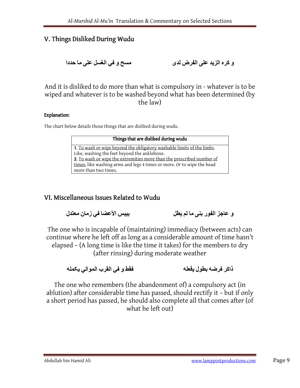## V. Things Disliked During Wudu

و كرہ الزيد على الفرض لدى مسح و في الغسل على ما حددا

And it is disliked to do more than what is compulsory in - whatever is to be wiped and whatever is to be washed beyond what has been determined (by the law)

### Explanation:

The chart below details those things that are disliked during wudu.

| Things that are disliked during wudu                                   |
|------------------------------------------------------------------------|
| 1. To wash or wipe beyond the obligatory washable limits of the limbs. |
| Like, washing the feet beyond the anklebone.                           |
| 2. To wash or wipe the extremities more than the prescribed number of  |
| times, like washing arms and legs 4 times or more. Or to wipe the head |
| more than two times.                                                   |

## VI. Miscellaneous Issues Related to Wudu

و عاجز الفور بنى ما لم يطل

The one who is incapable of (maintaining) immediacy (between acts) can continue where he left off as long as a considerable amount of time hasn't elapsed – (A long time is like the time it takes) for the members to dry (after rinsing) during moderate weather

ذاکر فرضه بطول يفعله فقط و في القرب الموالي يکمله

The one who remembers (the abandonment of) a compulsory act (in ablution) after considerable time has passed, should rectify it – but if only a short period has passed, he should also complete all that comes after (of what he left out)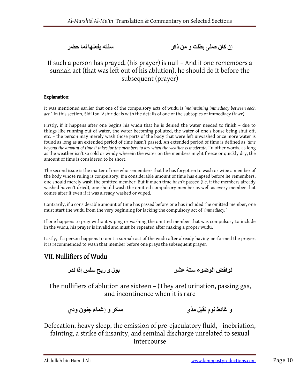إن کان صلى بطلت و من ذکر سنته يفعلھا لما حضر

## If such a person has prayed, (his prayer) is null – And if one remembers a sunnah act (that was left out of his ablution), he should do it before the subsequent (prayer)

### Explanation:

It was mentioned earlier that one of the compulsory acts of wudu is 'maintaining immediacy between each act.' In this section, Sidi Ibn 'Ashir deals with the details of one of the subtopics of immediacy (fawr).

Firstly, if it happens after one begins his wudu that he is denied the water needed to finish – due to things like running out of water, the water becoming polluted, the water of one's house being shut off, etc. – the person may merely wash those parts of the body that were left unwashed once more water is found as long as an extended period of time hasn't passed. An extended period of time is defined as 'time beyond the amount of time it takes for the members to dry when the weather is moderate.' In other words, as long as the weather isn't so cold or windy wherein the water on the members might freeze or quickly dry, the amount of time is considered to be short.

The second issue is the matter of one who remembers that he has forgotten to wash or wipe a member of the body whose ruling is compulsory. If a considerable amount of time has elapsed before he remembers, one should merely wash the omitted member. But if much time hasn't passed (i.e. if the members already washed haven't dried), one should wash the omitted compulsory member as well as every member that comes after it even if it was already washed or wiped.

Contrarily, if a considerable amount of time has passed before one has included the omitted member, one must start the wudu from the very beginning for lacking the compulsory act of 'immediacy.'

If one happens to pray without wiping or washing the omitted member that was compulsory to include in the wudu, his prayer is invalid and must be repeated after making a proper wudu.

Lastly, if a person happens to omit a sunnah act of the wudu after already having performed the prayer, it is recommended to wash that member before one prays the subsequent prayer.

## VII. Nullifiers of Wudu

نواقض الوضوء ستة عشر بول و ريح سلس إذا ندر

The nullifiers of ablution are sixteen – (They are) urination, passing gas, and incontinence when it is rare

و غائط نوم ثقيل مذي سکر و إغماء جنون ودي

Defecation, heavy sleep, the emission of pre-ejaculatory fluid, - inebriation, fainting, a strike of insanity, and seminal discharge unrelated to sexual intercourse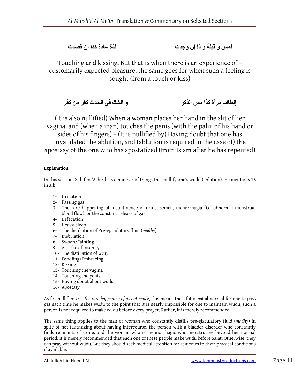لمس و قبلة و ذا إن وجدت لذة عادة کذا إن قصدت

Touching and kissing; But that is when there is an experience of – customarily expected pleasure, the same goes for when such a feeling is sought (from a touch or kiss)

إلطاف مرأة كذا مس الذکر و الشك في الحدث کفر من کفر

(It is also nullified) When a woman places her hand in the slit of her vagina, and (when a man) touches the penis (with the palm of his hand or sides of his fingers) – (It is nullified by) Having doubt that one has invalidated the ablution, and (ablution is required in the case of) the apostasy of the one who has apostatized (from Islam after he has repented)

### Explanation:

In this section, Sidi Ibn 'Ashir lists a number of things that nullify one's wudu (ablution). He mentions 16 in all:

- 1- Urination
- 2- Passing gas
- 3- The rare happening of incontinence of urine, semen, menorrhagia (i.e. abnormal menstrual blood flow), or the constant release of gas
- 4- Defecation
- 5- Heavy Sleep
- 6- The distillation of Pre-ejaculatory fluid (madhy)
- 7- Inebriation
- 8- Swoon/Fainting
- 9- A strike of insanity
- 10- The distillation of wady
- 11- Fondling/Embracing
- 12- Kissing
- 13- Touching the vagina
- 14- Touching the penis
- 15- Having doubt about wudu
- 16- Apostasy

As for nullifier #3 – the rare happening of incontinence, this means that if it is not abnormal for one to pass gas each time he makes wudu to the point that it is nearly impossible for one to maintain wudu, such a person is not required to make wudu before every prayer. Rather, it is merely recommended.

The same thing applies to the man or woman who constantly distills pre-ejaculatory fluid (madhy) in spite of not fantasizing about having intercourse, the person with a bladder disorder who constantly finds remnants of urine, and the woman who is mennorrhagic who menstruates beyond her normal period. It is merely recommended that each one of these people make wudu before Salat. Otherwise, they can pray without wudu. But they should seek medical attention for remedies to their physical conditions if available.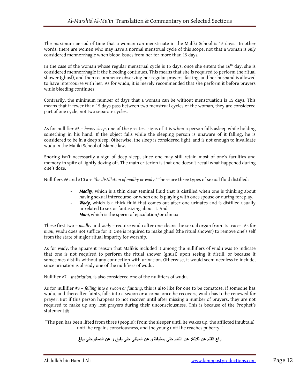The maximum period of time that a woman can menstruate in the Maliki School is 15 days. In other words, there are women who may have a normal menstrual cycle of this scope, not that a woman is only considered mennorrhagic when blood issues from her for more than 15 days.

In the case of the woman whose regular menstrual cycle is 15 days, once she enters the 16<sup>th</sup> day, she is considered mennorrhagic if the bleeding continues. This means that she is required to perform the ritual shower (ghusl), and then recommence observing her regular prayers, fasting, and her husband is allowed to have intercourse with her. As for wudu, it is merely recommended that she perform it before prayers while bleeding continues.

Contrarily, the minimum number of days that a woman can be without menstruation is 15 days. This means that if fewer than 15 days pass between two menstrual cycles of the woman, they are considered part of one cycle, not two separate cycles.

As for nullifier #5 – heavy sleep, one of the greatest signs of it is when a person falls asleep while holding something in his hand. If the object falls while the sleeping person is unaware of it falling, he is considered to be in a deep sleep. Otherwise, the sleep is considered light, and is not enough to invalidate wudu in the Maliki School of Islamic law.

Snoring isn't necessarily a sign of deep sleep, since one may still retain most of one's faculties and memory in spite of lightly dozing off. The main criterion is that one doesn't recall what happened during one's doze.

Nullifiers #6 and #10 are 'the distillation of madhy or wady.' There are three types of sexual fluid distilled:

- Madhy, which is a thin clear seminal fluid that is distilled when one is thinking about having sexual intercourse, or when one is playing with ones spouse or during foreplay.
- Wady, which is a thick fluid that comes out after one urinates and is distilled usually unrelated to sex or fantasizing about it. And
- Mani, which is the sperm of ejaculation/or climax

These first two - madhy and wady - require wudu after one cleans the sexual organ from its traces. As for mani, wudu does not suffice for it. One is required to make ghusl (the ritual shower) to remove one's self from the state of major ritual impurity for worship.

As for wady, the apparent reason that Malikis included it among the nullifiers of wudu was to indicate that one is not required to perform the ritual shower (ghusl) upon seeing it distill, or because it sometimes distills without any connection with urination. Otherwise, it would seem needless to include, since urination is already one of the nullifiers of wudu.

Nullifier #7 – inebriation, is also considered one of the nullifiers of wudu.

As for nullifier #8 – falling into a swoon or fainting, this is also like for one to be comatose. If someone has wudu, and thereafter faints, falls into a swoon or a coma, once he recovers, wudu has to be renewed for prayer. But if this person happens to not recover until after missing a number of prayers, they are not required to make up any lost prayers during their unconsciousness. This is because of the Prophet's statement  $\ddot{\hspace{0.1cm}}$ 

"The pen has been lifted from three (people): From the sleeper until he wakes up, the afflicted (mubtala) until he regains consciousness, and the young until he reaches puberty."

رفع القلم عن ث[ثة**:** عن النائم حتى يستيقظ و عن المبتلى حتى يفيق و عن الصغيرحتى يبلغ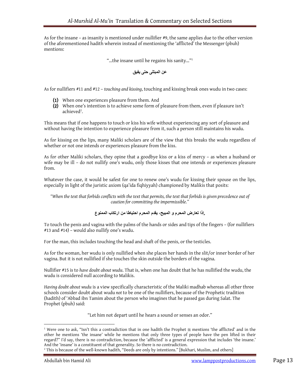As for the insane – as insanity is mentioned under nullifier #9, the same applies due to the other version of the aforementioned hadith wherein instead of mentioning the 'afflicted' the Messenger (pbuh) mentions:

"…the insane until he regains his sanity…"<sup>1</sup>

عن المبتلى حتى يفيق

As for nullifiers #11 and #12 – touching and kissing, touching and kissing break ones wudu in two cases:

- (1) When one experiences pleasure from them. And
- (2) When one's intention is to achieve some form of pleasure from them, even if pleasure isn't achieved<sup>2</sup>.

This means that if one happens to touch or kiss his wife without experiencing any sort of pleasure and without having the intention to experience pleasure from it, such a person still maintains his wudu.

As for kissing on the lips, many Maliki scholars are of the view that this breaks the wudu regardless of whether or not one intends or experiences pleasure from the kiss.

As for other Maliki scholars, they opine that a goodbye kiss or a kiss of mercy – as when a husband or wife may be ill – do not nullify one's wudu, only those kisses that one intends or experiences pleasure from.

Whatever the case, it would be safest for one to renew one's wudu for kissing their spouse on the lips, especially in light of the juristic axiom (qa'ida fiqhiyyah) championed by Malikis that posits:

"When the text that forbids conflicts with the text that permits, the text that forbids is given precedence out of caution for committing the impermissible."

### .إذا تعارض المحرم و المبيح، يقدم المحرم احتياطا من ارتكاب الممنوع

To touch the penis and vagina with the palms of the hands or sides and tips of the fingers – (for nullifiers #13 and #14) – would also nullify one's wudu.

For the man, this includes touching the head and shaft of the penis, or the testicles.

As for the woman, her wudu is only nullified when she places her hands in the slit/or inner border of her vagina. But it is not nullified if she touches the skin outside the borders of the vagina.

Nullifier #15 is to have doubt about wudu. That is, when one has doubt that he has nullified the wudu, the wudu is considered null according to Malikis.

Having doubt about wudu is a view specifically characteristic of the Maliki madhab whereas all other three schools consider doubt about wudu not to be one of the nullifiers, because of the Prophetic tradition (hadith) of 'Abbad ibn Tamim about the person who imagines that he passed gas during Salat. The Prophet (pbuh) said:

"Let him not depart until he hears a sound or senses an odor."

<sup>&</sup>lt;sup>1</sup> Were one to ask, "Isn't this a contradiction that in one hadith the Prophet  $\frac{m}{2}$  mentions 'the afflicted' and in the other he mentions 'the insane' while he mentions that only three types of people have the pen lifted in their regard?" I'd say, there is no contradiction, because the 'afflicted' is a general expression that includes 'the insane.' And the 'insane' is a constituent of that generality. So there is no contradiction.

<sup>2</sup> This is because of the well-known hadith, "Deeds are only by intentions." [Bukhari, Muslim, and others]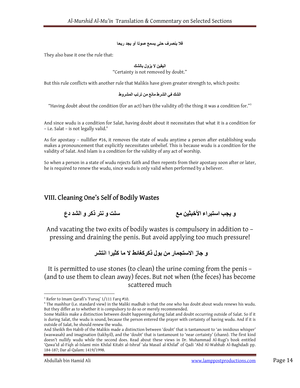### ف[ ينصرف حتى يسمع صوتا أو يجد ريحا

They also base it one the rule that:

### اليقين 0 يزول بالشك

"Certainty is not removed by doubt."

But this rule conflicts with another rule that Malikis have given greater strength to, which posits:

### الشك في الشرط مانع من ترتب المشروط

"Having doubt about the condition (for an act) bars (the validity of) the thing it was a condition for." $^3$ 

And since wudu is a condition for Salat, having doubt about it necessitates that what it is a condition for - i.e. Salat - is not legally valid.<sup>4</sup>

As for apostasy – nullifier #16, it removes the state of wudu anytime a person after establishing wudu makes a pronouncement that explicitly necessitates unbelief. This is because wudu is a condition for the validity of Salat. And Islam is a condition for the validity of any act of worship.

So when a person in a state of wudu rejects faith and then repents from their apostasy soon after or later, he is required to renew the wudu, since wudu is only valid when performed by a believer.

## VIII. Cleaning One's Self of Bodily Wastes

و يجب استبراء الأخبثين مع سلت و نتر ذكر و الشد دع

And vacating the two exits of bodily wastes is compulsory in addition to – pressing and draining the penis. But avoid applying too much pressure!

## و جاز الاستجمار من بول ذكر كغائط لا ما كثير ا انتشر

It is permitted to use stones (to clean) the urine coming from the penis – (and to use them to clean away) feces. But not when (the feces) has become scattered much

<sup>&</sup>lt;sup>3</sup> Refer to Imam Qarafi's 'Furuq' 1/111 Farq #10.

<sup>4</sup> The mashhur (i.e. standard view) in the Maliki madhab is that the one who has doubt about wudu renews his wudu. But they differ as to whether it is compulsory to do so or merely recommended.

Some Malikis make a distinction between doubt happening during Salat and doubt occurring outside of Salat. So if it is during Salat, the wudu is sound, because the person entered the prayer with certainty of having wudu. And if it is outside of Salat, he should renew the wudu.

And Sheikh Ibn Habib of the Malikis made a distinction between 'doubt' that is tantamount to 'an insidious whisper' (waswasah) and imagination (takhyil), and the 'doubt' that is tantamount to 'near certainty' (zhann). The first kind doesn't nullify wudu while the second does. Read about these views in Dr. Muhammad Al-Rugi's book entitled 'Qawa'id al-Fiqh al-Islami min Khilal Kitabi al-Ishraf 'ala Masail al-Khilaf' of Qadi 'Abd Al-Wahhab Al-Baghdadi pp. 184-187; Dar al-Qalam: 1419/1998.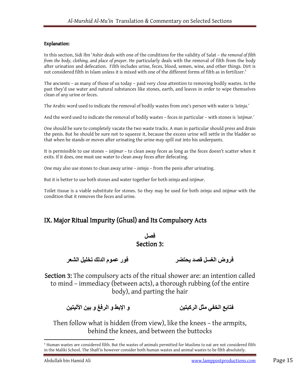### Explanation:

In this section, Sidi Ibn 'Ashir deals with one of the conditions for the validity of Salat - the removal of filth from the body, clothing, and place of prayer. He particularly deals with the removal of filth from the body after urination and defecation. Filth includes urine, feces, blood, semen, wine, and other things. Dirt is not considered filth in Islam unless it is mixed with one of the different forms of filth as in fertilizer.<sup>5</sup>

The ancients – as many of those of us today – paid very close attention to removing bodily wastes. In the past they'd use water and natural substances like stones, earth, and leaves in order to wipe themselves clean of any urine or feces.

The Arabic word used to indicate the removal of bodily wastes from one's person with water is 'istinja.'

And the word used to indicate the removal of bodily wastes – feces in particular – with stones is 'istijmar.'

One should be sure to completely vacate the two waste tracks. A man in particular should press and drain the penis. But he should be sure not to squeeze it, because the excess urine will settle in the bladder so that when he stands or moves after urinating the urine may spill out into his underpants.

It is permissible to use stones – istijmar – to clean away feces as long as the feces doesn't scatter when it exits. If it does, one must use water to clean away feces after defecating.

One may also use stones to clean away urine – istinja – from the penis after urinating.

But it is better to use both stones and water together for both istinja and istijmar.

Toilet tissue is a viable substitute for stones. So they may be used for both istinja and istijmar with the condition that it removes the feces and urine.

## IX. Major Ritual Impurity (Ghusl) and Its Compulsory Acts

### فصل Section 3:

فروض الغسل قصد يحتضر مستحدث الغور عموم الدلك تخليل الشعر

Section 3: The compulsory acts of the ritual shower are: an intention called to mind – immediacy (between acts), a thorough rubbing (of the entire body), and parting the hair

فتابع الخفي مثل الركبتين و الإبط و الرفغ و بين الأليتين

Then follow what is hidden (from view), like the knees – the armpits, behind the knees, and between the buttocks

 $^5$  Human wastes are considered filth. But the wastes of animals permitted for Muslims to eat are not considered filth in the Maliki School. The Shafi'is however consider both human wastes and animal wastes to be filth absolutely.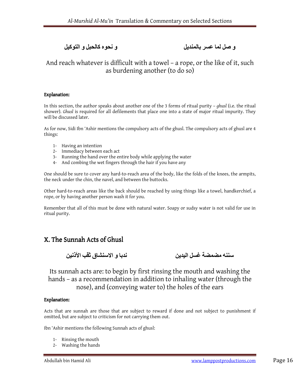## و صل لما عسر بالمنديل و نحوہ کالحبل و التوکيل

## And reach whatever is difficult with a towel – a rope, or the like of it, such as burdening another (to do so)

### Explanation:

In this section, the author speaks about another one of the 3 forms of ritual purity – ghusl (i.e. the ritual shower). Ghusl is required for all defilements that place one into a state of major ritual impurity. They will be discussed later.

As for now, Sidi Ibn 'Ashir mentions the compulsory acts of the ghusl. The compulsory acts of ghusl are 4 things:

- 1- Having an intention
- 2- Immediacy between each act
- 3- Running the hand over the entire body while applying the water
- 4- And combing the wet fingers through the hair if you have any

One should be sure to cover any hard-to-reach area of the body, like the folds of the knees, the armpits, the neck under the chin, the navel, and between the buttocks.

Other hard-to-reach areas like the back should be reached by using things like a towel, handkerchief, a rope, or by having another person wash it for you.

Remember that all of this must be done with natural water. Soapy or sudsy water is not valid for use in ritual purity.

## X. The Sunnah Acts of Ghusl

سننه مضمضة غسل اليدين ندبا و ا0سنشاق ثقب اAذنين

Its sunnah acts are: to begin by first rinsing the mouth and washing the hands – as a recommendation in addition to inhaling water (through the nose), and (conveying water to) the holes of the ears

### Explanation:

Acts that are sunnah are those that are subject to reward if done and not subject to punishment if omitted, but are subject to criticism for not carrying them out.

Ibn 'Ashir mentions the following Sunnah acts of ghusl:

- 1- Rinsing the mouth
- 2- Washing the hands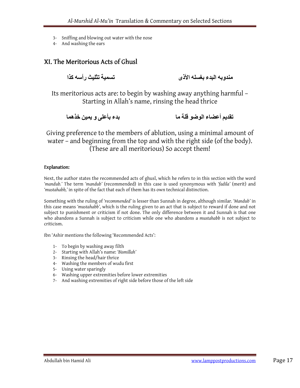- 3- Sniffing and blowing out water with the nose
- 4- And washing the ears

## XI. The Meritorious Acts of Ghusl

مندوبه البدء بغسله الأذى تسمية تثليث رأسه كذا

Its meritorious acts are: to begin by washing away anything harmful – Starting in Allah's name, rinsing the head thrice

تقديم أعضاء الوضو قلة ما بدء بأعلى و يمين خذھما

Giving preference to the members of ablution, using a minimal amount of water – and beginning from the top and with the right side (of the body). (These are all meritorious) So accept them!

### Explanation:

Next, the author states the recommended acts of ghusl, which he refers to in this section with the word 'mandub.' The term 'mandub' (recommended) in this case is used synonymous with 'fadila' (merit) and 'mustahabb,' in spite of the fact that each of them has its own technical distinction.

Something with the ruling of 'recommended' is lesser than Sunnah in degree, although similar. 'Mandub' in this case means 'mustahabb', which is the ruling given to an act that is subject to reward if done and not subject to punishment or criticism if not done. The only difference between it and Sunnah is that one who abandons a Sunnah is subject to criticism while one who abandons a mustahabb is not subject to criticism.

Ibn 'Ashir mentions the following 'Recommended Acts':

- 1- To begin by washing away filth
- 2- Starting with Allah's name: 'Bismillah'
- 3- Rinsing the head/hair thrice
- 4- Washing the members of wudu first
- 5- Using water sparingly
- 6- Washing upper extremities before lower extremities
- 7- And washing extremities of right side before those of the left side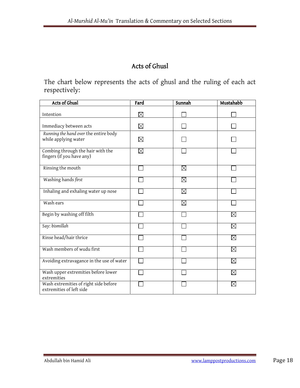## Acts of Ghusl

The chart below represents the acts of ghusl and the ruling of each act respectively:

| Acts of Ghusl                                                     | Fard        | Sunnah      | Mustahabb   |
|-------------------------------------------------------------------|-------------|-------------|-------------|
| Intention                                                         | $\boxtimes$ |             |             |
| Immediacy between acts                                            | $\boxtimes$ |             |             |
| Running the hand over the entire body<br>while applying water     | ⊠           |             |             |
| Combing through the hair with the<br>fingers (if you have any)    | ⊠           |             |             |
| Rinsing the mouth                                                 |             | ⊠           |             |
| Washing hands first                                               |             | ⊠           |             |
| Inhaling and exhaling water up nose                               |             | $\boxtimes$ |             |
| Wash ears                                                         |             | $\boxtimes$ |             |
| Begin by washing off filth                                        |             |             | $\boxtimes$ |
| Say: bismillah                                                    |             |             | $\boxtimes$ |
| Rinse head/hair thrice                                            |             |             | $\boxtimes$ |
| Wash members of wudu first                                        |             |             | $\boxtimes$ |
| Avoiding extravagance in the use of water                         |             |             | $\boxtimes$ |
| Wash upper extremities before lower<br>extremities                |             |             | $\bowtie$   |
| Wash extremities of right side before<br>extremities of left side |             |             | ⊠           |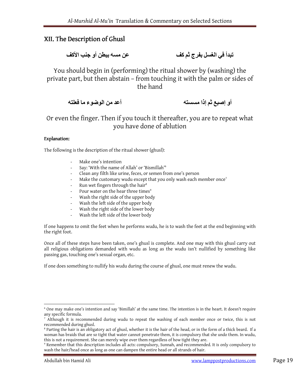## XII. The Description of Ghusl XII. The Description of Ghusl

تبدأ في الغسل بفرج ثم كف عن عن مسه ببطن أو جنب الأكف

You should begin in (performing) the ritual shower by (washing) the private part, but then abstain – from touching it with the palm or sides of the hand

أو إصبع ثم إذا مسسته أعد من الوضوء ما فعلته

Or even the finger. Then if you touch it thereafter, you are to repeat what you have done of ablution

### Explanation:

The following is the description of the ritual shower (ghusl):

- Make one's intention
- Say: 'With the name of Allah' or 'Bismillah'<sup>6</sup>
- Clean any filth like urine, feces, or semen from one's person
- Make the customary wudu except that you only wash each member once<sup>7</sup>
- Run wet fingers through the hair<sup>8</sup>
- Pour water on the hear three times<sup>9</sup>
- Wash the right side of the upper body
- Wash the left side of the upper body
- Wash the right side of the lower body
- Wash the left side of the lower body

If one happens to omit the feet when he performs wudu, he is to wash the feet at the end beginning with the right foot.

Once all of these steps have been taken, one's ghusl is complete. And one may with this ghusl carry out all religious obligations demanded with wudu as long as the wudu isn't nullified by something like passing gas, touching one's sexual organ, etc.

If one does something to nullify his wudu during the course of ghusl, one must renew the wudu.

<sup>6</sup> One may make one's intention and say 'Bimillah' at the same time. The intention is in the heart. It doesn't require any specific formula.

<sup>&</sup>lt;sup>7</sup> Although it is recommended during wudu to repeat the washing of each member once or twice, this is not recommended during ghusl.

<sup>&</sup>lt;sup>8</sup> Parting the hair is an obligatory act of ghusl, whether it is the hair of the head, or in the form of a thick beard. If a woman has braids that are so tight that water cannot penetrate them, it is compulsory that she undo them. In wudu, this is not a requirement. She can merely wipe over them regardless of how tight they are.

<sup>9</sup> Remember that this description includes all acts: compulsory, Sunnah, and recommended. It is only compulsory to wash the hair/head once as long as one can dampen the entire head or all strands of hair.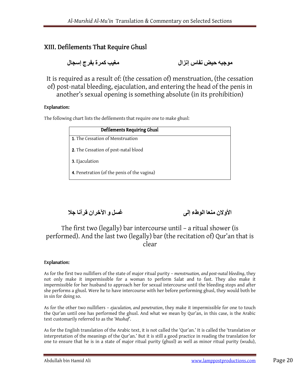## XIII. Defilements That Require Ghusl

موجبه حيض نفاس إنزال مغيب کمرة بفرج إسجال

It is required as a result of: (the cessation of) menstruation, (the cessation of) post-natal bleeding, ejaculation, and entering the head of the penis in another's sexual opening is something absolute (in its prohibition)

### Explanation:

The following chart lists the defilements that require one to make ghusl:

| Defilements Requiring Ghusl                 |  |
|---------------------------------------------|--|
| 1. The Cessation of Menstruation            |  |
| 2. The Cessation of post-natal blood        |  |
| 3. Ejaculation                              |  |
| 4. Penetration (of the penis of the vagina) |  |

الأولان منعا الوطء إلى غسل و الآخران قرآنا جلا

## The first two (legally) bar intercourse until – a ritual shower (is performed). And the last two (legally) bar (the recitation of) Qur'an that is clear

### Explanation:

As for the first two nullifiers of the state of major ritual purity – menstruation, and post-natal bleeding, they not only make it impermissible for a woman to perform Salat and to fast. They also make it impermissible for her husband to approach her for sexual intercourse until the bleeding stops and after she performs a ghusl. Were he to have intercourse with her before performing ghusl, they would both be in sin for doing so.

As for the other two nullifiers – ejaculation, and penetration, they make it impermissible for one to touch the Qur'an until one has performed the ghusl. And what we mean by Qur'an, in this case, is the Arabic text customarily referred to as the 'Mushaf'.

As for the English translation of the Arabic text, it is not called the 'Qur'an.' It is called the 'translation or interpretation of the meanings of the Qur'an.' But it is still a good practice in reading the translation for one to ensure that he is in a state of major ritual purity (ghusl) as well as minor ritual purity (wudu),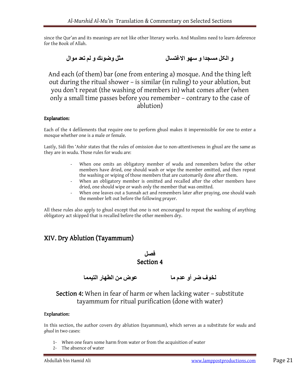since the Qur'an and its meanings are not like other literary works. And Muslims need to learn deference for the Book of Allah.

و الكل مسجدا و سهو الاغتسال مثل وضوئك و لم تعد موال

And each (of them) bar (one from entering a) mosque. And the thing left out during the ritual shower – is similar (in ruling) to your ablution, but you don't repeat (the washing of members in) what comes after (when only a small time passes before you remember – contrary to the case of ablution)

### Explanation:

Each of the 4 defilements that require one to perform ghusl makes it impermissible for one to enter a mosque whether one is a male or female.

Lastly, Sidi Ibn 'Ashir states that the rules of omission due to non-attentiveness in ghusl are the same as they are in wudu. Those rules for wudu are:

- When one omits an obligatory member of wudu and remembers before the other members have dried, one should wash or wipe the member omitted, and then repeat the washing or wiping of those members that are customarily done after them.
- When an obligatory member is omitted and recalled after the other members have dried, one should wipe or wash only the member that was omitted.
- When one leaves out a Sunnah act and remembers later after praying, one should wash the member left out before the following prayer.

All these rules also apply to ghusl except that one is not encouraged to repeat the washing of anything obligatory act skipped that is recalled before the other members dry.

## XIV. Dry Ablution (Tayammum) XIV. Dry Ablution (Tayammum)

 فصل Section 4

لخوف ضر أو عدم ما عوض من الطھار التيمما

## Section 4: When in fear of harm or when lacking water – substitute tayammum for ritual purification (done with water)

### Explanation:

In this section, the author covers dry ablution (tayammum), which serves as a substitute for wudu and ghusl in two cases:

- 1- When one fears some harm from water or from the acquisition of water
- 2- The absence of water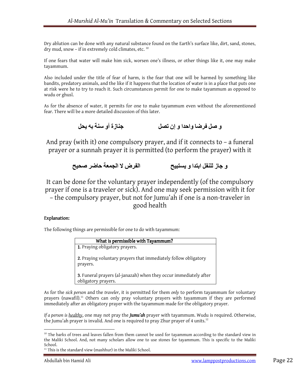Dry ablution can be done with any natural substance found on the Earth's surface like, dirt, sand, stones, dry mud, snow - if in extremely cold climates, etc.<sup>10</sup>

If one fears that water will make him sick, worsen one's illness, or other things like it, one may make tayammum.

Also included under the title of fear of harm, is the fear that one will be harmed by something like bandits, predatory animals, and the like if it happens that the location of water is in a place that puts one at risk were he to try to reach it. Such circumstances permit for one to make tayammum as opposed to wudu or ghusl.

As for the absence of water, it permits for one to make tayammum even without the aforementioned fear. There will be a more detailed discussion of this later.

و صل فرضا واحدا و إن تصل جنازة أو سنة به يحل

And pray (with it) one compulsory prayer, and if it connects to – a funeral prayer or a sunnah prayer it is permitted (to perform the prayer) with it

```
و جاز للنفل ابتدا و يستبيح اللغرض لا الجمعة حاضر صحيح
```
It can be done for the voluntary prayer independently (of the compulsory prayer if one is a traveler or sick). And one may seek permission with it for – the compulsory prayer, but not for Jumu'ah if one is a non-traveler in good health

### Explanation:

The following things are permissible for one to do with tayammum:

| What is permissible with Tayammum?                                                       |
|------------------------------------------------------------------------------------------|
| 1. Praying obligatory prayers.                                                           |
| 2. Praying voluntary prayers that immediately follow obligatory<br>prayers.              |
| 3. Funeral prayers (al-janazah) when they occur immediately after<br>obligatory prayers. |

As for the sick person and the traveler, it is permitted for them only to perform tayammum for voluntary prayers (nawafil).<sup>11</sup> Others can only pray voluntary prayers with tayammum if they are performed immediately after an obligatory prayer with the tayammum made for the obligatory prayer.

If a person is healthy, one may not pray the **Jumu'ah** prayer with tayammum. Wudu is required. Otherwise, the Jumu'ah prayer is invalid. And one is required to pray Zhur prayer of 4 units. $^{\rm 12}$ 

<sup>&</sup>lt;sup>10</sup> The barks of trees and leaves fallen from them cannot be used for tayammum according to the standard view in the Maliki School. And, not many scholars allow one to use stones for tayammum. This is specific to the Maliki School.

<sup>&</sup>lt;sup>11</sup> This is the standard view (mashhur) in the Maliki School.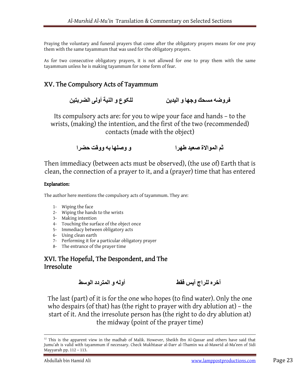Praying the voluntary and funeral prayers that come after the obligatory prayers means for one pray them with the same tayammum that was used for the obligatory prayers.

As for two consecutive obligatory prayers, it is not allowed for one to pray them with the same tayammum unless he is making tayammum for some form of fear.

## XV. The Compulsory Acts of Tayammum

فروضه مسحك وجھا و اليدين للکوع و النية أولى الضربتين

Its compulsory acts are: for you to wipe your face and hands – to the wrists, (making) the intention, and the first of the two (recommended) contacts (made with the object)

ثم الموالاة صعيد طهرا و مسلما به ووقت حضرا

Then immediacy (between acts must be observed), (the use of) Earth that is clean, the connection of a prayer to it, and a (prayer) time that has entered

### Explanation:

The author here mentions the compulsory acts of tayammum. They are:

- 1- Wiping the face
- 2- Wiping the hands to the wrists
- 3- Making intention
- 4- Touching the surface of the object once
- 5- Immediacy between obligatory acts
- 6- Using clean earth
- 7- Performing it for a particular obligatory prayer
- 8- The entrance of the prayer time

XVI. The Hopeful, The Despondent, and The **Irresolute** 

آخره للراج آيس فقط أوله و المتردد الوسط

The last (part) of it is for the one who hopes (to find water). Only the one who despairs (of that) has (the right to prayer with dry ablution at) – the start of it. And the irresolute person has (the right to do dry ablution at) the midway (point of the prayer time)

 $12$  This is the apparent view in the madhab of Malik. However, Sheikh Ibn Al-Qassar and others have said that Jumu'ah is valid with tayammum if necessary. Check Mukhtasar al-Darr al-Thamin wa al-Mawrid al-Ma'een of Sidi Mayyarah pp. 112 – 113.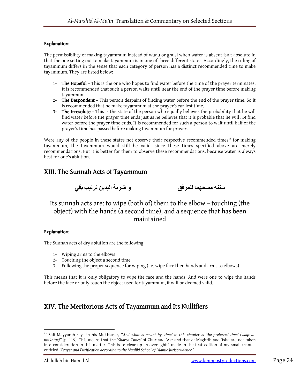### Explanation:

The permissibility of making tayammum instead of wudu or ghusl when water is absent isn't absolute in that the one setting out to make tayammum is in one of three different states. Accordingly, the ruling of tayammum differs in the sense that each category of person has a distinct recommended time to make tayammum. They are listed below:

- 1- The Hopeful This is the one who hopes to find water before the time of the prayer terminates. It is recommended that such a person waits until near the end of the prayer time before making tayammum.
- 2- The Despondent This person despairs of finding water before the end of the prayer time. So it is recommended that he make tayammum at the prayer's earliest time.
- 3- The Irresolute This is the state of the person who equally believes the probability that he will find water before the prayer time ends just as he believes that it is probable that he will not find water before the prayer time ends. It is recommended for such a person to wait until half of the prayer's time has passed before making tayammum for prayer.

Were any of the people in these states not observe their respective recommended times<sup>13</sup> for making tayammum, the tayammum would still be valid, since these times specified above are merely recommendations. But it is better for them to observe these recommendations, because water is always best for one's ablution.

### XIII. The Sunnah Acts of Tayammum



Its sunnah acts are: to wipe (both of) them to the elbow – touching (the object) with the hands (a second time), and a sequence that has been maintained

### Explanation:

The Sunnah acts of dry ablution are the following:

- 1- Wiping arms to the elbows
- 2- Touching the object a second time
- 3- Following the proper sequence for wiping (i.e. wipe face then hands and arms to elbows)

This means that it is only obligatory to wipe the face and the hands. And were one to wipe the hands before the face or only touch the object used for tayammum, it will be deemed valid.

## XIV. The Meritorious Acts of Tayammum and Its Nullifiers

<sup>&</sup>lt;sup>13</sup> Sidi Mayyarah says in his Mukhtasar, "And what is meant by 'time' in this chapter is 'the preferred time' (waqt almukhtar)" [p. 115]. This means that the 'Shared Times' of Zhur and 'Asr and that of Maghrib and 'Isha are not taken into consideration in this matter. This is to clear up an oversight I made in the first edition of my small manual entitled, 'Prayer and Purification according to the Maaliki School of Islamic Jurisprudence.'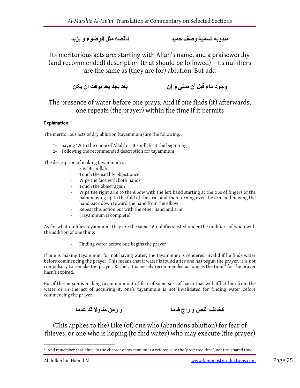### مندوبه تسمية وصف حميد ناقضه مثل الوضوء و يزيد

Its meritorious acts are: starting with Allah's name, and a praiseworthy (and recommended) description (that should be followed) – Its nullifiers are the same as (they are for) ablution. But add

وجود ماء قبل أن صلى و إن بعد يجد يعد بوقت إن يکن

The presence of water before one prays. And if one finds (it) afterwards, one repeats (the prayer) within the time if it permits

### Explanation:

The meritorious acts of dry ablution (tayammum) are the following:

- 1- Saying 'With the name of Allah' or 'Bismillah' at the beginning
- 2- Following the recommended description for tayammum

The description of making tayammum is:

- Say 'Bismillah'
- Touch the earthly object once
- Wipe the face with both hands
- Touch the object again
- Wipe the right arm to the elbow with the left hand starting at the tips of fingers of the palm moving up to the fold of the arm, and then turning over the arm and moving the hand back down toward the hand from the elbow
- Repeat this action but with the other hand and arm
- (Tayammum is complete)

As for what nullifies tayammum, they are the same 16 nullifiers listed under the nullifiers of wudu with the addition of one thing:

Finding water before one begins the prayer

If one is making tayammum for not having water, the tayammum is rendered invalid if he finds water before commencing the prayer. This means that if water is found after one has begun the prayer, it is not compulsory to remake the prayer. Rather, it is merely recommended as long as the time<sup>14</sup> for the prayer hasn't expired.

But if the person is making tayammum out of fear of some sort of harm that will afflict him from the water or in the act of acquiring it, one's tayammum is not invalidated for finding water before commencing the prayer.

کخائف اللص و راج قدما و زمن مناو0 قد عدما

(This applies to the) Like (of) one who (abandons ablution) for fear of thieves, or one who is hoping (to find water) who may execute (the prayer)

<sup>&</sup>lt;sup>14</sup> And remember that 'time' in the chapter of tayammum is a reference to the 'preferred time', not the 'shared time.'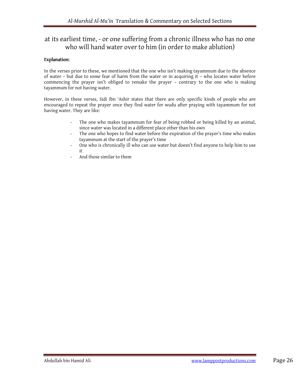## at its earliest time, - or one suffering from a chronic illness who has no one who will hand water over to him (in order to make ablution)

### Explanation:

In the verses prior to these, we mentioned that the one who isn't making tayammum due to the absence of water – but due to some fear of harm from the water or in acquiring it – who locates water before commencing the prayer isn't obliged to remake the prayer – contrary to the one who is making tayammum for not having water.

However, in these verses, Sidi Ibn 'Ashir states that there are only specific kinds of people who are encouraged to repeat the prayer once they find water for wudu after praying with tayammum for not having water. They are like:

- The one who makes tayammum for fear of being robbed or being killed by an animal, since water was located in a different place other than his own
- The one who hopes to find water before the expiration of the prayer's time who makes tayammum at the start of the prayer's time
- One who is chronically ill who can use water but doesn't find anyone to help him to use it
- And those similar to them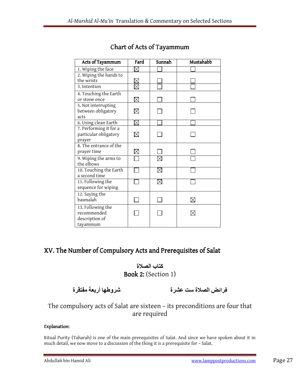| Acts of Tayammum                    | Fard     | Sunnah | Mustahabb |
|-------------------------------------|----------|--------|-----------|
| 1. Wiping the face                  | $\times$ |        |           |
| 2. Wiping the hands to              |          |        |           |
| the wrists                          |          |        |           |
| 3. Intention                        |          |        |           |
| 4. Touching the Earth               |          |        |           |
| or stone once                       | $\times$ |        |           |
| 5. Not interrupting                 |          |        |           |
| between obligatory                  |          |        |           |
| acts                                |          |        |           |
| 6. Using clean Earth                |          |        |           |
| 7. Performing it for a              |          |        |           |
| particular obligatory               |          |        |           |
| prayer<br>8. The entrance of the    |          |        |           |
|                                     |          |        |           |
| prayer time                         |          |        |           |
| 9. Wiping the arms to<br>the elbows |          |        |           |
| 10. Touching the Earth              |          |        |           |
| a second time                       |          |        |           |
| 11. Following the                   |          |        |           |
| sequence for wiping                 |          |        |           |
| 12. Saying the                      |          |        |           |
| basmalah                            |          |        |           |
| 13. Following the                   |          |        |           |
| recommended                         |          |        |           |
| description of                      |          |        |           |
| tayammum                            |          |        |           |

## Chart of Acts of Tayammum

## XV. The Number of Compulsory Acts and Prerequisites of Salat

## كتاب الصلاة Book 2: (Section 1)

فرائض الصلاة ست عشرة شروطها أربعة مفتقرة

## The compulsory acts of Salat are sixteen – its preconditions are four that are required

### Explanation:

Ritual Purity (Taharah) is one of the main prerequisites of Salat. And since we have spoken about it in much detail, we now move to a discussion of the thing it is a prerequisite for – Salat.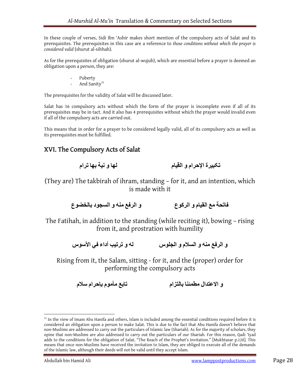In these couple of verses, Sidi Ibn 'Ashir makes short mention of the compulsory acts of Salat and its prerequisites. The prerequisites in this case are a reference to those conditions without which the prayer is considered valid (shurut al-sihhah).

As for the prerequisites of obligation (shurut al-wujub), which are essential before a prayer is deemed an obligation upon a person, they are:

- Puberty
- And Sanity<sup>15</sup>

The prerequisites for the validity of Salat will be discussed later.

Salat has 16 compulsory acts without which the form of the prayer is incomplete even if all of its prerequisites may be in tact. And it also has 4 prerequisites without which the prayer would invalid even if all of the compulsory acts are carried out.

This means that in order for a prayer to be considered legally valid, all of its compulsory acts as well as its prerequisites must be fulfilled.

## XVI. The Compulsory Acts of Salat XVI. The Compulsory Salat

تكبيرة الإحرام و القيام لها و نية بھا ترام

(They are) The takbirah of ihram, standing – for it, and an intention, which is made with it

فاتحة مع القيام و الرکوع و الرفع منه و السجود بالخضوع

The Fatihah, in addition to the standing (while reciting it), bowing – rising from it, and prostration with humility

و الرفع منه و السلام و الجلوس له عن الأسوس له و ترتيب أداء في الأسوس

Rising from it, the Salam, sitting - for it, and the (proper) order for performing the compulsory acts

و الاعتدال مطمئنا بالتزام تابع مأموم بإحرام سلام

<sup>&</sup>lt;sup>15</sup> In the view of Imam Abu Hanifa and others, Islam is included among the essential conditions required before it is considered an obligation upon a person to make Salat. This is due to the fact that Abu Hanifa doesn't believe that non-Muslims are addressed to carry out the particulars of Islamic law (Shariah). As for the majority of scholars, they opine that non-Muslims are also addressed to carry out the particulars of our Shariah. For this reason, Qadi 'Iyad adds to the conditions for the obligation of Salat, "The Reach of the Prophet's Invitation." [Mukhtasar p.120]. This means that once non-Muslims have received the invitation to Islam, they are obliged to execute all of the demands of the Islamic law, although their deeds will not be valid until they accept Islam.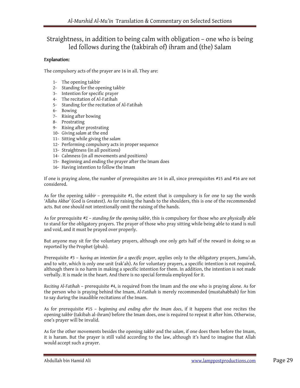## Straightness, in addition to being calm with obligation – one who is being led follows during the (takbirah of) ihram and (the) Salam

### Explanation:

The compulsory acts of the prayer are 16 in all. They are:

- 1- The opening takbir
- 2- Standing for the opening takbir
- 3- Intention for specific prayer
- 4- The recitation of Al-Fatihah
- 5- Standing for the recitation of Al-Fatihah
- 6- Bowing
- 7- Rising after bowing
- 8- Prostrating
- 9- Rising after prostrating
- 10- Giving salam at the end
- 11- Sitting while giving the salam
- 12- Performing compulsory acts in proper sequence
- 13- Straightness (in all positions)
- 14- Calmness (in all movements and positions)
- 15- Beginning and ending the prayer after the Imam does
- 16- Having intention to follow the Imam

If one is praying alone, the number of prerequisites are 14 in all, since prerequisites #15 and #16 are not considered.

As for the opening takbir – prerequisite #1, the extent that is compulsory is for one to say the words 'Allahu Akbar' (God is Greatest). As for raising the hands to the shoulders, this is one of the recommended acts. But one should not intentionally omit the raising of the hands.

As for prerequisite #2 – standing for the opening takbir, this is compulsory for those who are physically able to stand for the obligatory prayers. The prayer of those who pray sitting while being able to stand is null and void, and it must be prayed over properly.

But anyone may sit for the voluntary prayers, although one only gets half of the reward in doing so as reported by the Prophet (pbuh).

Prerequisite #3 – having an intention for a specific prayer, applies only to the obligatory prayers, Jumu'ah, and to witr, which is only one unit (rak'ah). As for voluntary prayers, a specific intention is not required, although there is no harm in making a specific intention for them. In addition, the intention is not made verbally. It is made in the heart. And there is no special formula employed for it.

Reciting Al-Fatihah – prerequisite #4, is required from the Imam and the one who is praying alone. As for the person who is praying behind the Imam, Al-Fatihah is merely recommended (mustahabbah) for him to say during the inaudible recitations of the Imam.

As for prerequisite #15 – beginning and ending after the Imam does, if it happens that one recites the opening takbir (takibah al-ihram) before the Imam does, one is required to repeat it after him. Otherwise, one's prayer will be invalid.

As for the other movements besides the opening takbir and the salam, if one does them before the Imam, it is haram. But the prayer is still valid according to the law, although it's hard to imagine that Allah would accept such a prayer.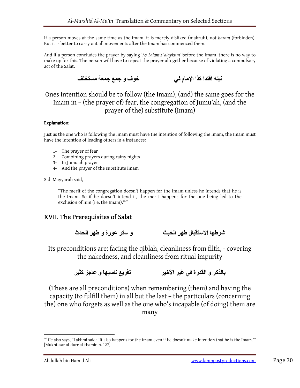If a person moves at the same time as the Imam, it is merely disliked (makruh), not haram (forbidden). But it is better to carry out all movements after the Imam has commenced them.

And if a person concludes the prayer by saying 'As-Salamu 'alaykum' before the Imam, there is no way to make up for this. The person will have to repeat the prayer altogether because of violating a compulsory act of the Salat.

نيته اقتدا کذا اRمام في خوف و جمع جمعة مستخلف

Ones intention should be to follow (the Imam), (and) the same goes for the Imam in – (the prayer of) fear, the congregation of Jumu'ah, (and the prayer of the) substitute (Imam)

### Explanation:

Just as the one who is following the Imam must have the intention of following the Imam, the Imam must have the intention of leading others in 4 instances:

- 1- The prayer of fear
- 2- Combining prayers during rainy nights
- 3- In Jumu'ah prayer
- 4- And the prayer of the substitute Imam

Sidi Mayyarah said,

"The merit of the congregation doesn't happen for the Imam unless he intends that he is the Imam. So if he doesn't intend it, the merit happens for the one being led to the exclusion of him (i.e. the Imam).<sup>16"</sup>

## XVII. The Prerequisites of Salat

شرطها الاستقبال طهر الخبث و ستر عورة و طهر الحدث

Its preconditions are: facing the qiblah, cleanliness from filth, - covering the nakedness, and cleanliness from ritual impurity

بالذکر و القدرة في غير اAخير تفريع ناسيھا و عاجز کثير

(These are all preconditions) when remembering (them) and having the capacity (to fulfill them) in all but the last – the particulars (concerning the) one who forgets as well as the one who's incapable (of doing) them are many

<sup>&</sup>lt;sup>16</sup> He also says, "Lakhmi said: "It also happens for the Imam even if he doesn't make intention that he is the Imam."' [Mukhtasar al-durr al-thamin p. 127]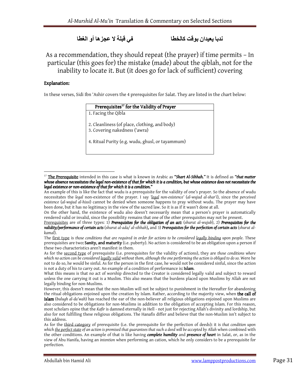## ندبا يعيدان بوقت کالخطا في قبلة 0 عجزھا أو الغطا

As a recommendation, they should repeat (the prayer) if time permits – In particular (this goes for) the mistake (made) about the qiblah, not for the inability to locate it. But (it does go for lack of sufficient) covering

### Explanation:

 $\overline{a}$ 

In these verses, Sidi Ibn 'Ashir covers the 4 prerequisites for Salat. They are listed in the chart below:

| Prerequisites <sup>17</sup> for the Validity of Prayer |  |
|--------------------------------------------------------|--|
|                                                        |  |

1. Facing the Qibla

2. Cleanliness (of place, clothing, and body) 3. Covering nakedness ('awra)

4. Ritual Purity (e.g. wudu, ghusl, or tayammum)

On the other hand, the existence of wudu also doesn't necessarily mean that a person's prayer is automatically rendered valid or invalid, since the possibility remains that one of the other prerequisites may not be present.

<sup>&</sup>lt;sup>17</sup> The Prerequisite intended in this case is what is known in Arabic as "Shart Al-Sihhah." It is defined as "that matter whose absence necessitates the legal non-existence of that for which it is a condition, but whose existence does not necessitate the legal existence or non-existence of that for which it is a condition."

An example of this is like the fact that wudu is a prerequisite for the validity of one's prayer. So the absence of wudu necessitates the legal non-existence of the prayer. I say 'legal non-existence' (al-wujud al-shar'i), since the perceived existence (al-wujud al-hissi) cannot be denied when someone happens to pray without wudu. The prayer may have been done, but it has no legitimacy in the view of the sacred law. So it is as if it wasn't done at all.

Prerequisites are of three types: 1) Prerequisites for the obligation of an act:  $(\text{shurut al-wujub})$ , 2) Prerequisites for the validity/performance of certain acts (shurut al-ada/ al-sihhah), and 3) Prerequisites for the perfection of certain acts (shurut alkamal).

The first type is those conditions that are required in order for actions to be considered legally binding upon people. These prerequisites are two: Sanity, and maturity (i.e. puberty). No action is considered to be an obligation upon a person if these two characteristics aren't manifest in them.

As for the second type of prerequisite (i.e. prerequisites for the validity of actions), they are those conditions where which no action can be considered legally valid without them, although the one performing the action is obliged to do so. Were he not to do so, he would be sinful. As for the person in the first case, he would not be considered sinful, since the action is not a duty of his to carry out. An example of a condition of performance is: Islam.

What this means is that no act of worship directed to the Creator is considered legally valid and subject to reward unless the one carrying it out is a Muslim. This also means that the burdens placed upon Muslims by Allah are not legally binding for non-Muslims.

However, this doesn't mean that the non-Muslim will not be subject to punishment in the Hereafter for abandoning the ritual obligations enjoined upon the creation by Islam. Rather, according to the majority view, when the call of Islam (bulugh al-da'wah) has reached the ear of the non-believer all religious obligations enjoined upon Muslims are also considered to be obligations for non-Muslims in addition to the obligation of accepting Islam. For this reason, most scholars opine that the Kafir is damned eternally in Hell - not just for rejecting Allah's divinity and lordship, but also for not fulfilling these religious obligations. The Hanafis differ and believe that the non-Muslim isn't subject to this address.

As for the third category of prerequisite (i.e. the prerequisite for the perfection of deeds): it is that condition upon which the perfect state of an action is premised that quarantees that such a deed will be accepted by Allah when combined with the other conditions. An example of that is like having *complete humility* and *presence of heart* in Salat, or, as in the view of Abu Hanifa, having an intention when performing an cation, which he only considers to be a prerequisite for perfection.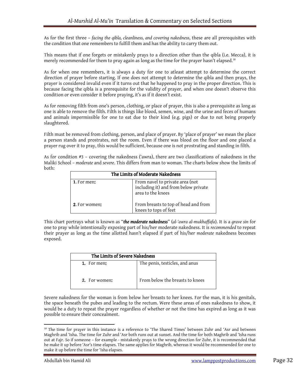As for the first three – facing the qibla, cleanliness, and covering nakedness, these are all prerequisites with the condition that one remembers to fulfill them and has the ability to carry them out.

This means that if one forgets or mistakenly prays to a direction other than the qibla (i.e. Mecca), it is merely recommended for them to pray again as long as the time for the prayer hasn't elapsed.<sup>18</sup>

As for when one remembers, it is always a duty for one to atleast attempt to determine the correct direction of prayer before starting. If one does not attempt to determine the qibla and then prays, the prayer is considered invalid even if it turns out that he happened to pray in the proper direction. This is because facing the qibla is a prerequisite for the validity of prayer, and when one doesn't observe this condition or even consider it before praying, it's as if it doesn't exist.

As for removing filth from one's person, clothing, or place of prayer, this is also a prerequisite as long as one is able to remove the filth. Filth is things like blood, semen, wine, and the urine and feces of humans and animals impermissible for one to eat due to their kind (e.g. pigs) or due to not being properly slaughtered.

Filth must be removed from clothing, person, and place of prayer. By 'place of prayer' we mean the place a person stands and prostrates, not the room. Even if there was blood on the floor and one placed a prayer rug over it to pray, this would be sufficient, because one is not prostrating and standing in filth.

As for condition #3 – covering the nakedness ('awra), there are two classifications of nakedness in the Maliki School – moderate and severe. This differs from man to woman. The charts below show the limits of both:

|               | The Limits of Moderate Nakedness                                                             |
|---------------|----------------------------------------------------------------------------------------------|
| 1. For men:   | From navel to private area (not<br>including it) and from below private<br>area to the knees |
| 2. For women: | From breasts to top of head and from<br>knees to tops of feet                                |

This chart portrays what is known as "the moderate nakedness" (al-'awra al-mukhaffafa). It is a grave sin for one to pray while intentionally exposing part of his/her moderate nakedness. It is recommended to repeat their prayer as long as the time allotted hasn't elapsed if part of his/her moderate nakedness becomes exposed.

| The Limits of Severe Nakedness |                                 |  |
|--------------------------------|---------------------------------|--|
| 1. For men:                    | The penis, testicles, and anus  |  |
| 2. For women:                  | From below the breasts to knees |  |

Severe nakedness for the woman is from below her breasts to her knees. For the man, it is his genitals, the space beneath the pubes and leading to the rectum. Were these areas of ones nakedness to show, it would be a duty to repeat the prayer regardless of whether or not the time has expired as long as it was possible to ensure their concealment.

<sup>&</sup>lt;sup>18</sup> The time for prayer in this instance is a reference to 'The Shared Times' between Zuhr and 'Asr and between Maghrib and 'Isha. The time for Zuhr and 'Asr both runs out at sunset. And the time for both Maghrib and 'Isha runs out at Fajr. So if someone – for example - mistakenly prays to the wrong direction for Zuhr, it is recommended that he make it up before 'Asr's time elapses. The same applies for Maghrib, whereas it would be recommended for one to make it up before the time for 'Isha elapses.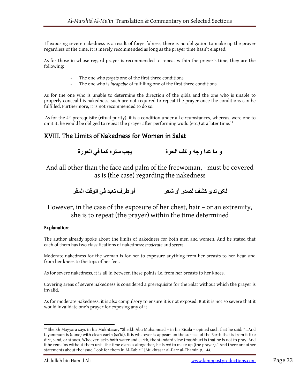If exposing severe nakedness is a result of forgetfulness, there is no obligation to make up the prayer regardless of the time. It is merely recommended as long as the prayer time hasn't elapsed.

As for those in whose regard prayer is recommended to repeat within the prayer's time, they are the following:

- The one who forgets one of the first three conditions
- The one who is *incapable* of fulfilling one of the first three conditions

As for the one who is unable to determine the direction of the qibla and the one who is unable to properly conceal his nakedness, such are not required to repeat the prayer once the conditions can be fulfilled. Furthermore, it is not recommended to do so.

As for the  $4<sup>th</sup>$  prerequisite (ritual purity), it is a condition under all circumstances, whereas, were one to omit it, he would be obliged to repeat the prayer after performing wudu (etc.) at a later time.<sup>19</sup>

### XVIII. The Limits of Nakedness for Women in Salat

و ما عدا وجه و کف الحرة يجب ستره کما في العورة

And all other than the face and palm of the freewoman, - must be covered as is (the case) regarding the nakedness

لکن لدى كشف لصدر أو شعر أو طرف تعيد في الوقت المقر

However, in the case of the exposure of her chest, hair – or an extremity, she is to repeat (the prayer) within the time determined

### Explanation:

The author already spoke about the limits of nakedness for both men and women. And he stated that each of them has two classifications of nakedness: moderate and severe.

Moderate nakedness for the woman is for her to exposure anything from her breasts to her head and from her knees to the tops of her feet.

As for severe nakedness, it is all in between these points i.e. from her breasts to her knees.

Covering areas of severe nakedness is considered a prerequisite for the Salat without which the prayer is invalid.

As for moderate nakedness, it is also compulsory to ensure it is not exposed. But it is not so severe that it would invalidate one's prayer for exposing any of it.

<sup>19</sup> Sheikh Mayyara says in his Mukhtasar, "Sheikh Abu Muhammad – in his Risala – opined such that he said: "…And tayammum is (done) with clean earth (sa'id). It is whatever is appears on the surface of the Earth that is from it like dirt, sand, or stones. Whoever lacks both water and earth, the standard view (mashhur) is that he is not to pray. And if he remains without them until the time elapses altogether, he is not to make up (the prayer)." And there are other statements about the issue. Look for them in Al-Kabir." [Mukhtasar al-Darr al-Thamin p. 144]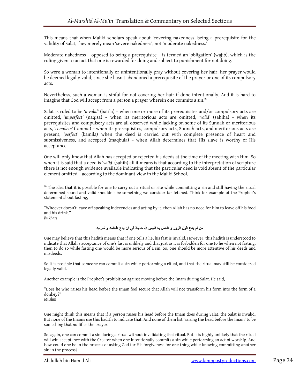This means that when Maliki scholars speak about 'covering nakedness' being a prerequisite for the validity of Salat, they merely mean 'severe nakedness', not 'moderate nakedness.'

Moderate nakedness – opposed to being a prerequisite – is termed an 'obligation' (wajib), which is the ruling given to an act that one is rewarded for doing and subject to punishment for not doing.

So were a woman to intentionally or unintentionally pray without covering her hair, her prayer would be deemed legally valid, since she hasn't abandoned a prerequisite of the prayer or one of its compulsory acts.

Nevertheless, such a woman is sinful for not covering her hair if done intentionally. And it is hard to imagine that God will accept from a person a prayer wherein one commits a  $\sin^{20}$ 

Salat is ruled to be 'invalid' (batila) – when one or more of its prerequisites and/or compulsory acts are omitted, 'imperfect' (naqisa) – when its meritorious acts are omitted, 'valid' (sahiha) - when its prerequisites and compulsory acts are all observed while lacking on some of its Sunnah or meritorious acts, 'complete' (tamma) – when its prerequisites, compulsory acts, Sunnah acts, and meritorious acts are present, 'perfect' (kamila) when the deed is carried out with complete presence of heart and submissiveness, and accepted (maqbula) – when Allah determines that His slave is worthy of His acceptance.

One will only know that Allah has accepted or rejected his deeds at the time of the meeting with Him. So when it is said that a deed is 'valid' (sahih) all it means is that according to the interpretation of scripture there is not enough evidence available indicating that the particular deed is void absent of the particular element omitted – according to the dominant view in the Maliki School.

"Whoever doesn't leave off speaking indecencies and acting by it, then Allah has no need for him to leave off his food and his drink." Bukhari

### من لم يدع قول الزور و العمل به فليس لله حاجة في أن يدع طعامه و شرابه

One may believe that this hadith means that if one tells a lie, his fast is invalid. However, this hadith is understood to indicate that Allah's acceptance of one's fast is unlikely and that just as it is forbidden for one to lie when not fasting, then to do so while fasting one would be more serious of a sin. So, one should be more attentive of his deeds and misdeeds.

So it is possible that someone can commit a sin while performing a ritual, and that the ritual may still be considered legally valid.

Another example is the Prophet's prohibition against moving before the Imam during Salat. He said,

"Does he who raises his head before the Imam feel secure that Allah will not transform his form into the form of a donkey?" Muslim

 $\overline{a}$ 

One might think this means that if a person raises his head before the Imam does during Salat, the Salat is invalid. But none of the Imams use this hadith to indicate that. And none of them list 'raising the head before the Imam' to be something that nullifies the prayer.

So, again, one can commit a sin during a ritual without invalidating that ritual. But it is highly unlikely that the ritual will win acceptance with the Creator when one intentionally commits a sin while performing an act of worship. And how could one be in the process of asking God for His forgiveness for one thing while knowing committing another sin in the process?

 $^{20}$  The idea that it is possible for one to carry out a ritual or rite while committing a sin and still having the ritual determined sound and valid shouldn't be something we consider far fetched. Think for example of the Prophet's statement about fasting,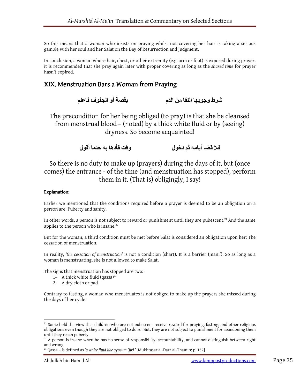So this means that a woman who insists on praying whilst not covering her hair is taking a serious gamble with her soul and her Salat on the Day of Resurrection and Judgment.

In conclusion, a woman whose hair, chest, or other extremity (e.g. arm or foot) is exposed during prayer, it is recommended that she pray again later with proper covering as long as the shared time for prayer hasn't expired.

## XIX. Menstruation Bars a Woman from Praying

```
 شرط وجوبھا النقا من الدم بقصة أو الجفوف فاعلم
```
The precondition for her being obliged (to pray) is that she be cleansed from menstrual blood – (noted) by a thick white fluid or by (seeing) dryness. So become acquainted!

```
 ف[ قضا أيامه ثم دخول وقت فأدھا به حتما أقول
```
So there is no duty to make up (prayers) during the days of it, but (once comes) the entrance - of the time (and menstruation has stopped), perform them in it. (That is) obligingly, I say!

### Explanation:

Earlier we mentioned that the conditions required before a prayer is deemed to be an obligation on a person are: Puberty and sanity.

In other words, a person is not subject to reward or punishment until they are pubescent.<sup>21</sup> And the same applies to the person who is insane. $22$ 

But for the woman, a third condition must be met before Salat is considered an obligation upon her: The cessation of menstruation.

In reality, 'the cessation of menstruation' is not a condition (shart). It is a barrier (mani'). So as long as a woman is menstruating, she is not allowed to make Salat.

The signs that menstruation has stopped are two:

- 1- A thick white fluid  $(qassa)^{23}$
- 2- A dry cloth or pad

Contrary to fasting, a woman who menstruates is not obliged to make up the prayers she missed during the days of her cycle.

<sup>&</sup>lt;sup>21</sup> Some hold the view that children who are not pubescent receive reward for praying, fasting, and other religious obligations even though they are not obliged to do so. But, they are not subject to punishment for abandoning them until they reach puberty.

 $22$  A person is insane when he has no sense of responsibility, accountability, and cannot distinguish between right and wrong.

 $^{23}$  Qassa – is defined as 'a white fluid like gypsum (jir).' [Mukhtasar al-Darr al-Thamin: p. 132]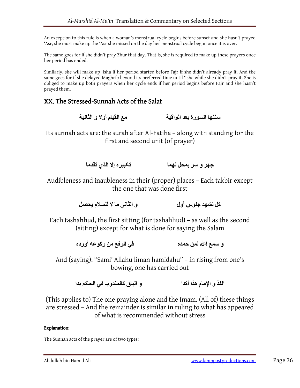An exception to this rule is when a woman's menstrual cycle begins before sunset and she hasn't prayed 'Asr, she must make up the 'Asr she missed on the day her menstrual cycle begun once it is over.

The same goes for if she didn't pray Zhur that day. That is, she is required to make up these prayers once her period has ended.

Similarly, she will make up 'Isha if her period started before Fajr if she didn't already pray it. And the same goes for if she delayed Maghrib beyond its preferred time until 'Isha while she didn't pray it. She is obliged to make up both prayers when her cycle ends if her period begins before Fajr and she hasn't prayed them.

## XX. The Stressed-Sunnah Acts of the Salat

سننها السورة بعد الواقية مع القيام أو لا و الثانية

Its sunnah acts are: the surah after Al-Fatiha – along with standing for the first and second unit (of prayer)

جھر و سر بمحل لھما تكبير ه إلا الذي تقدما

Audibleness and inaubleness in their (proper) places – Each takbir except the one that was done first

كل تشھد جلوس أول و الثاني ما 0 للس[م يحصل

Each tashahhud, the first sitting (for tashahhud) – as well as the second (sitting) except for what is done for saying the Salam

و سمع الله لمن حمده في الرفع من ركوعه أورده

And (saying): "Sami' Allahu liman hamidahu" – in rising from one's bowing, one has carried out

الفذ و الإمام هذا أكدا و الباق كالمندوب في الحكم بدا

(This applies to) The one praying alone and the Imam. (All of) these things are stressed – And the remainder is similar in ruling to what has appeared of what is recommended without stress

### Explanation:

The Sunnah acts of the prayer are of two types: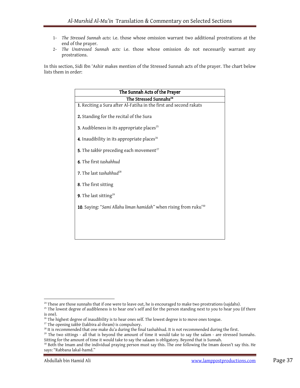- 1- The Stressed Sunnah acts: i.e. those whose omission warrant two additional prostrations at the end of the prayer.
- 2- The Unstressed Sunnah acts: i.e. those whose omission do not necessarily warrant any prostrations.

In this section, Sidi Ibn 'Ashir makes mention of the Stressed Sunnah acts of the prayer. The chart below lists them in order:

| The Sunnah Acts of the Prayer                                                |  |  |
|------------------------------------------------------------------------------|--|--|
| The Stressed Sunnahs <sup>24</sup>                                           |  |  |
| 1. Reciting a Sura after Al-Fatiha in the first and second rakats            |  |  |
| 2. Standing for the recital of the Sura                                      |  |  |
| <b>3.</b> Audibleness in its appropriate places <sup>25</sup>                |  |  |
| <b>4.</b> Inaudibility in its appropriate places <sup>26</sup>               |  |  |
| 5. The takbir preceding each movement <sup>27</sup>                          |  |  |
| <b>6.</b> The first tashahhud                                                |  |  |
| <b>7.</b> The last tashahhud <sup>28</sup>                                   |  |  |
| 8. The first sitting                                                         |  |  |
| 9. The last sitting <sup>29</sup>                                            |  |  |
| 10. Saying: "Sami Allahu liman hamidah" when rising from ruku' <sup>30</sup> |  |  |
|                                                                              |  |  |
|                                                                              |  |  |
|                                                                              |  |  |

<sup>&</sup>lt;sup>24</sup> These are those sunnahs that if one were to leave out, he is encouraged to make two prostrations (sajdahs).

<sup>&</sup>lt;sup>25</sup> The lowest degree of audibleness is to hear one's self and for the person standing next to you to hear you (if there is one).

 $26$  The highest degree of inaudibility is to hear ones self. The lowest degree is to move ones tongue.

<sup>&</sup>lt;sup>27</sup> The opening takbir (takbira al-ihram) is compulsory.

 $^{28}$  It is recommended that one make du'a during the final tashahhud. It is not recommended during the first.

 $^{29}$  The two sittings - all that is beyond the amount of time it would take to say the salam - are stressed Sunnahs. Sitting for the amount of time it would take to say the salaam is obligatory. Beyond that is Sunnah.

<sup>&</sup>lt;sup>30</sup> Both the Imam and the individual praying person must say this. The one following the Imam doesn't say this. He says: "Rabbana lakal-hamd."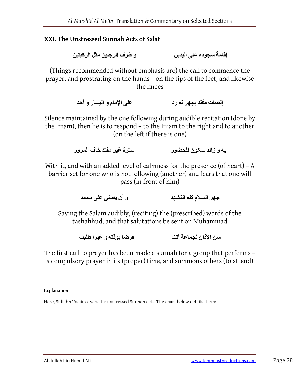## XXI. The Unstressed Sunnah Acts of Salat

إقامة سجوده على اليدين و طرف الرجلين مثل الرکبتين

(Things recommended without emphasis are) the call to commence the prayer, and prostrating on the hands – on the tips of the feet, and likewise the knees

إنصات مقتد بجهر ثم رد على الإمام و اليسار و أحد على الإمام و اليسار و أحد

Silence maintained by the one following during audible recitation (done by the Imam), then he is to respond – to the Imam to the right and to another (on the left if there is one)

به و زائد سکون للحضور سترة غير مقتد خاف المرور

With it, and with an added level of calmness for the presence (of heart) – A barrier set for one who is not following (another) and fears that one will pass (in front of him)

جھر الس[م کلم التشھد و أن يصلى على محمد

Saying the Salam audibly, (reciting) the (prescribed) words of the tashahhud, and that salutations be sent on Muhammad

سن الأذان لجماعة أتت فرضا بوقته و غيرا طلبت

The first call to prayer has been made a sunnah for a group that performs – a compulsory prayer in its (proper) time, and summons others (to attend)

### Explanation:

Here, Sidi Ibn 'Ashir covers the unstressed Sunnah acts. The chart below details them: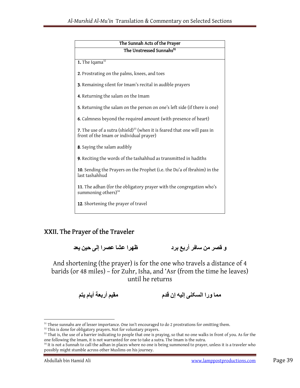| The Sunnah Acts of the Prayer                                                                                              |  |  |
|----------------------------------------------------------------------------------------------------------------------------|--|--|
| The Unstressed Sunnahs <sup>31</sup>                                                                                       |  |  |
| 1. The Iqama $32$                                                                                                          |  |  |
| 2. Prostrating on the palms, knees, and toes                                                                               |  |  |
| 3. Remaining silent for Imam's recital in audible prayers                                                                  |  |  |
| 4. Returning the salam on the Imam                                                                                         |  |  |
| 5. Returning the salam on the person on one's left side (if there is one)                                                  |  |  |
| <b>6.</b> Calmness beyond the required amount (with presence of heart)                                                     |  |  |
| 7. The use of a sutra (shield) $^{33}$ (when it is feared that one will pass in<br>front of the Imam or individual prayer) |  |  |
| 8. Saying the salam audibly                                                                                                |  |  |
| 9. Reciting the words of the tashahhud as transmitted in hadiths                                                           |  |  |
| 10. Sending the Prayers on the Prophet (i.e. the Du'a of Ibrahim) in the<br>last tashahhud                                 |  |  |
| 11. The adhan (for the obligatory prayer with the congregation who's<br>summoning others) <sup>34</sup>                    |  |  |
| 12. Shortening the prayer of travel                                                                                        |  |  |

## XXII. The Prayer of the Traveler

و قصر من سافر أربع برد ظھرا عشا عصرا إلى حين يعد

And shortening (the prayer) is for the one who travels a distance of 4 barids (or 48 miles) – for Zuhr, Isha, and 'Asr (from the time he leaves) until he returns

مما ورا السكنى إليه إن قدم

<sup>&</sup>lt;sup>31</sup> These sunnahs are of lesser importance. One isn't encouraged to do 2 prostrations for omitting them.

<sup>&</sup>lt;sup>32</sup> This is done for obligatory prayers. Not for voluntary prayers.

<sup>&</sup>lt;sup>33</sup> That is, the use of a barrier indicating to people that one is praying, so that no one walks in front of you. As for the one following the Imam, it is not warranted for one to take a sutra. The Imam is the sutra.

 $34$  It is not a Sunnah to call the adhan in places where no one is being summoned to prayer, unless it is a traveler who possibly might stumble across other Muslims on his journey.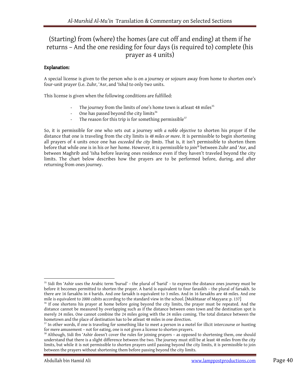## (Starting) from (where) the homes (are cut off and ending) at them if he returns – And the one residing for four days (is required to) complete (his prayer as 4 units)

### Explanation:

A special license is given to the person who is on a journey or sojourn away from home to shorten one's four-unit prayer (i.e. Zuhr, 'Asr, and 'Isha) to only two units.

This license is given when the following conditions are fulfilled:

- The journey from the limits of one's home town is atleast 48 miles<sup>35</sup>
- One has passed beyond the city limits<sup>36</sup>
- The reason for this trip is for something permissible<sup>37</sup>

So, it is permissible for one who sets out a journey with a noble objective to shorten his prayer if the distance that one is traveling from the city limits is 48 miles or more. It is permissible to begin shortening all prayers of 4 units once one has exceeded the city limits. That is, it isn't permissible to shorten them before that while one is in his or her home. However, it is permissible to join<sup>38</sup> between Zuhr and 'Asr, and between Maghrib and 'Isha before leaving ones residence even if they haven't traveled beyond the city limits. The chart below describes how the prayers are to be performed before, during, and after returning from ones journey.

 $35$  Sidi Ibn 'Ashir uses the Arabic term 'burud' – the plural of 'barid' – to express the distance ones journey must be before it becomes permitted to shorten the prayer. A barid is equivalent to four farasikh – the plural of farsakh. So there are 16 farsakhs in 4 barids. And one farsakh is equivalent to 3 miles. And in 16 farsakhs are 48 miles. And one mile is equivalent to 2000 cubits according to the standard view in the school. [Mukhtasar of Mayyara: p. 137]

<sup>&</sup>lt;sup>36</sup> If one shortens his prayer at home before going beyond the city limits, the prayer must be repeated. And the distance cannot be measured by overlapping such as if the distance between ones town and the destination spot is merely 24 miles. One cannot combine the 24 miles going with the 24 miles coming. The total distance between the hometown and the place of destination has to be atleast 48 miles in one direction.

 $37$  In other words, if one is traveling for something like to meet a person in a motel for illicit intercourse or hunting for mere amusement – not for eating, one is not given a license to shorten prayers.

<sup>&</sup>lt;sup>38</sup> Although, Sidi Ibn 'Ashir doesn't cover the rules for joining prayers - as opposed to shortening them, one should understand that there is a slight difference between the two. The journey must still be at least 48 miles from the city limits, but while it is not permissible to shorten prayers until passing beyond the city limits, it is permissible to join between the prayers without shortening them before passing beyond the city limits.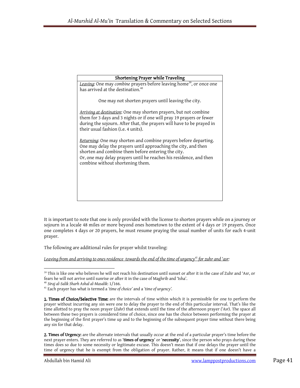| Shortening Prayer while Traveling                                                                                                                                                                                                                                                                  |
|----------------------------------------------------------------------------------------------------------------------------------------------------------------------------------------------------------------------------------------------------------------------------------------------------|
| Leaving: One may combine prayers before leaving home <sup>39</sup> , or once one<br>has arrived at the destination. <sup>40</sup>                                                                                                                                                                  |
| One may not shorten prayers until leaving the city.                                                                                                                                                                                                                                                |
| Arriving at destination: One may shorten prayers, but not combine<br>them for 3 days and 3 nights or if one will pray 19 prayers or fewer<br>during the sojourn. After that, the prayers will have to be prayed in<br>their usual fashion (i.e. 4 units).                                          |
| Returning: One may shorten and combine prayers before departing.<br>One may delay the prayers until approaching the city, and then<br>shorten and combine them before entering the city.<br>Or, one may delay prayers until he reaches his residence, and then<br>combine without shortening them. |
|                                                                                                                                                                                                                                                                                                    |
|                                                                                                                                                                                                                                                                                                    |
|                                                                                                                                                                                                                                                                                                    |

It is important to note that one is only provided with the license to shorten prayers while on a journey or sojourn in a locale 48 miles or more beyond ones hometown to the extent of 4 days or 19 prayers. Once one completes 4 days or 20 prayers, he must resume praying the usual number of units for each 4-unit prayer.

The following are additional rules for prayer whilst traveling:

Leaving from and arriving to ones residence towards the end of the time of urgency<sup>41</sup> for zuhr and 'asr:

 $\overline{a}$ 

2. Times of Urgency: are the alternate intervals that usually occur at the end of a particular prayer's time before the next prayer enters. They are referred to as 'times of urgency' or 'necessity', since the person who prays during these times does so due to some necessity or legitimate excuse. This doesn't mean that if one delays the prayer until the time of urgency that he is exempt from the obligation of prayer. Rather, it means that if one doesn't have a

<sup>&</sup>lt;sup>39</sup> This is like one who believes he will not reach his destination until sunset or after it in the case of Zuhr and 'Asr, or fears he will not arrive until sunrise or after it in the case of Maghrib and 'Isha'.

<sup>40</sup> Siraj al-Salik Sharh Ashal al-Masalik: 1/166.

<sup>&</sup>lt;sup>41</sup> Each prayer has what is termed a 'time of choice' and a 'time of urgency'.

<sup>1.</sup> Times of Choice/Selective Time: are the intervals of time within which it is permissible for one to perform the prayer without incurring any sin were one to delay the prayer to the end of this particular interval. That's like the time allotted to pray the noon prayer (Zuhr) that extends until the time of the afternoon prayer ('Asr). The space all between these two prayers is considered time of choice, since one has the choice between performing the prayer at the beginning of the first prayer's time up and to the beginning of the subsequent prayer time without there being any sin for that delay.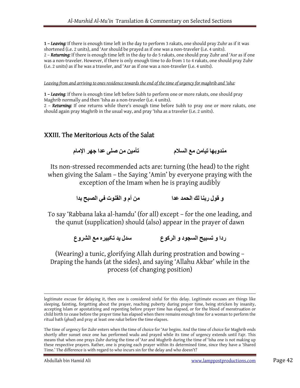1 – Leaving: If there is enough time left in the day to perform 3 rakats, one should pray Zuhr as if it was shortened (i.e. 2 units), and 'Asr should be prayed as if one was a non-traveler (i.e. 4 units). 2 - Returning: If there is enough time left in the day to do 5 rakats, one should pray Zuhr and 'Asr as if one was a non-traveler. However, if there is only enough time to do from 1 to 4 rakats, one should pray Zuhr (i.e. 2 units) as if he was a traveler, and 'Asr as if one was a non-traveler (i.e. 4 units).

Leaving from and arriving to ones residence towards the end of the time of urgency for maghrib and 'isha:

1 - Leaving: If there is enough time left before Subh to perform one or more rakats, one should pray Maghrib normally and then 'Isha as a non-traveler (i.e. 4 units).

2 – Returning: If one returns while there's enough time before Subh to pray one or more rakats, one should again pray Maghrib in the usual way, and pray 'Isha as a traveler (i.e. 2 units).

## XXIII. The Meritorious Acts of the Salat

مندوبھا تيامن مع الس[م تأمين من صلى عدا جھر اRمام

Its non-stressed recommended acts are: turning (the head) to the right when giving the Salam – the Saying 'Amin' by everyone praying with the exception of the Imam when he is praying audibly

و قول ربنا لك الحمد عدا من أم و القنوت في الصبح بدا

To say 'Rabbana laka al-hamdu' (for all) except – for the one leading, and the qunut (supplication) should (also) appear in the prayer of dawn

ردا و تسبيح السجود و الرکوع سدل يد تکبيره مع الشروع

(Wearing) a tunic, glorifying Allah during prostration and bowing – Draping the hands (at the sides), and saying 'Allahu Akbar' while in the process (of changing position)

legitimate excuse for delaying it, then one is considered sinful for this delay. Legitimate excuses are things like sleeping, fainting, forgetting about the prayer, reaching puberty during prayer time, being stricken by insanity, accepting Islam or apostatizing and repenting before prayer time has elapsed, or for the blood of menstruation or child birth to cease before the prayer time has elapsed when there remains enough time for a woman to perform the ritual bath (ghusl) and pray at least one rakat before the time elapses.

The time of urgency for Zuhr enters when the time of choice for 'Asr begins. And the time of choice for Maghrib ends shortly after sunset once one has performed wudu and prayed while its time of urgency extends until Fajr. This means that when one prays Zuhr during the time of 'Asr and Mughrib during the time of 'Isha one is not making up these respective prayers. Rather, one is praying each prayer within its determined time, since they have a 'Shared Time.' The difference is with regard to who incurs sin for the delay and who doesn't?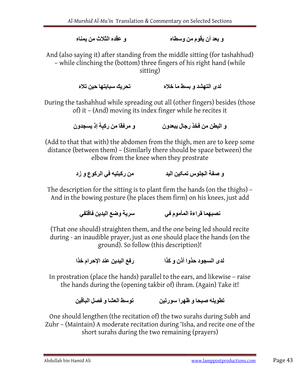و بعد أن يقوم من وسطاه و عقده الثلاث من يمناه

And (also saying it) after standing from the middle sitting (for tashahhud) – while clinching the (bottom) three fingers of his right hand (while sitting)

لدى التھشد و بسط ما خلاه تحريك سبابتھا حين تلاه

During the tashahhud while spreading out all (other fingers) besides (those of) it – (And) moving its index finger while he recites it

و البطن من فخذ رجال يبعدون و مرفقا من رکېة إذ يسجدون

(Add to that that with) the abdomen from the thigh, men are to keep some distance (between them) – (Similarly there should be space between) the elbow from the knee when they prostrate

و صفة الجلوس تمکين اليد من رکبتيه في الرکوع و زد

The description for the sitting is to plant firm the hands (on the thighs) – And in the bowing posture (he places them firm) on his knees, just add

نصبھما قراءة المأموم في سرية وضع اليدين فاقتفي

(That one should) straighten them, and the one being led should recite during - an inaudible prayer, just as one should place the hands (on the ground). So follow (this description)!

لدى السجود حذوا أذن و کذا رفع اليدين عند اRحرام خذا

In prostration (place the hands) parallel to the ears, and likewise – raise the hands during the (opening takbir of) ihram. (Again) Take it!

تطويله صبحا و ظھرا سورتين توسط العشا و فصل الباقين

One should lengthen (the recitation of) the two surahs during Subh and Zuhr – (Maintain) A moderate recitation during 'Isha, and recite one of the short surahs during the two remaining (prayers)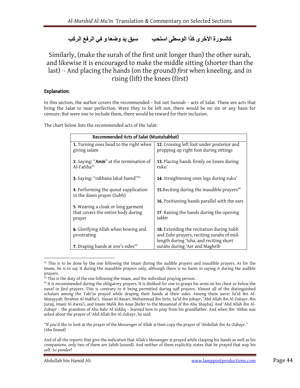## كالسورة الأخرى كذا الوسطى استحب سبس يد وضعا و في الرفع الركب

Similarly, (make the surah of the first unit longer than) the other surah, and likewise it is encouraged to make the middle sitting (shorter than the last) - And placing the hands (on the ground) first when kneeling, and in rising (lift) the knees (first)

### Explanation:

In this section, the author covers the recommended – but not Sunnah – acts of Salat. These are acts that bring the Salat to near perfection. Were they to be left out, there would be no sin or any basis for censure. But were one to include them, there would be reward for their inclusion.

The chart below lists the recommended acts of the Salat:

| Recommended Acts of Salat (Mustahabbat)                                            |                                                                                                                                  |  |  |
|------------------------------------------------------------------------------------|----------------------------------------------------------------------------------------------------------------------------------|--|--|
| 1. Turning ones head to the right when<br>giving salam                             | 12. Crossing left foot under posterior and<br>propping up right foot during sittings                                             |  |  |
| 2. Saying: "Amin" at the termination of<br>Al-Fatih $a^{42}$                       | 13. Placing hands firmly on knees during<br>ruku'                                                                                |  |  |
| 3. Saying: "rabbana lakal-hamd" <sup>43</sup>                                      | 14. Straightening ones legs during ruku'                                                                                         |  |  |
| 4. Performing the qunut supplication<br>in the dawn prayer (Subh)                  | 15. Reciting during the inaudible prayers <sup>49</sup>                                                                          |  |  |
|                                                                                    | 16. Positioning hands parallel with the ears                                                                                     |  |  |
| 5. Wearing a cloak or long garment<br>that covers the entire body during<br>prayer | 17. Raising the hands during the opening<br>takbir                                                                               |  |  |
| 6. Glorifying Allah when bowing and<br>prostrating                                 | 18. Extending the recitation during Subh<br>and Zuhr prayers, reciting surahs of mid-<br>length during 'Isha, and reciting short |  |  |
| 7. Draping hands at one's sides <sup>44</sup>                                      | surahs during 'Asr and Maghrib                                                                                                   |  |  |

 $42$  This is to be done by the one following the Imam during the audible prayers and inaudible prayers. As for the Imam, he is to say it during the inaudible prayers only, although there is no harm in saying it during the audible prayers.

"If you'd like to look at the prayer of the Messenger of Allah # then copy the prayer of 'Abdullah ibn Az-Zubayr." (Abu Dawud)

 $43$  This is the duty of the one following the Imam, and the individual praying person.

<sup>&</sup>lt;sup>44</sup> It is recommended during the obligatory prayers. It is disliked for one to grasps his arms on his chest or below the navel in fard prayers. This is contrary to it being permitted during nafl prayers. Almost all of the distinguished scholars among the Tabi'in prayed while draping their hands at their sides. Among them were: Sa'id ibn Al-Musayyab, Ibrahim Al-Nakha'i, Hasan Al-Basari, Muhammad ibn Sirin, Sa'id ibn Jubayr, 'Abd Allah ibn Al-Zubayr, Ibn Juraij, Imam Al-Awza'i, and Imam Malik ibn Anas [Refer to the Musannaf of Ibn Abu Shayba]. And 'Abd Allah ibn Al-Zubayr – the grandson of Abu Bakr Al-Siddiq – learned how to pray from his grandfather. And when Ibn 'Abbas was asked about the prayer of 'Abd Allah ibn Al-Zubayr, he said:

And of all the reports that give the indication that Allah's Messenger 鬓 prayed while clasping his hands as well as his companions, only two of them are Sahih (sound). And neither of them explicitly states that he prayed that way his self. So ponder!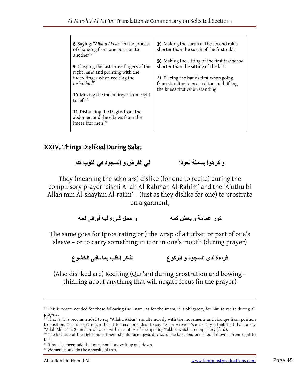| 8. Saying: "Allahu Akbar" in the process<br>of changing from one position to<br>another <sup>45</sup> | 19. Making the surah of the second rak'a<br>shorter than the surah of the first rak'a                                |
|-------------------------------------------------------------------------------------------------------|----------------------------------------------------------------------------------------------------------------------|
| <b>9.</b> Clasping the last three fingers of the<br>right hand and pointing with the                  | 20. Making the sitting of the first tashahhud<br>shorter than the sitting of the last                                |
| index finger when reciting the<br>$tashahhud^{46}$                                                    | 21. Placing the hands first when going<br>from standing to prostration, and lifting<br>the knees first when standing |
| 10. Moving the index finger from right<br>to $left47$                                                 |                                                                                                                      |
| 11. Distancing the thighs from the<br>abdomen and the elbows from the<br>knees (for men) $48$         |                                                                                                                      |

## XXIV. Things Disliked During Salat

و کرھوا بسملة تعوذا في الفرض و السجود في الثوب کذا

They (meaning the scholars) dislike (for one to recite) during the compulsory prayer 'bismi Allah Al-Rahman Al-Rahim' and the 'A'uthu bi Allah min Al-shaytan Al-rajim' – (just as they dislike for one) to prostrate on a garment,

کور عمامة و بعض کمه و حمل شيء فيه أو في فمه

The same goes for (prostrating on) the wrap of a turban or part of one's sleeve – or to carry something in it or in one's mouth (during prayer)

قراءة لدى السجود و الرکوع تفکر القلب بما نافى الخشوع

(Also disliked are) Reciting (Qur'an) during prostration and bowing – thinking about anything that will negate focus (in the prayer)

<sup>&</sup>lt;sup>49</sup> This is recommended for those following the Imam. As for the Imam, it is obligatory for him to recite during all prayers.

 $^{45}$  That is, it is recommended to say "Allahu Akbar" simultaneously with the movements and changes from position to position. This doesn't mean that it is 'recommended' to say "Allah Akbar." We already established that to say "Allah Akbar" is Sunnah in all cases with exception of the opening Takbir, which is compulsory (fard).

<sup>&</sup>lt;sup>46</sup> The left side of the right index finger should face upward toward the face, and one should move it from right to left.

<sup>&</sup>lt;sup>47</sup> It has also been said that one should move it up and down.

<sup>48</sup> Women should do the opposite of this.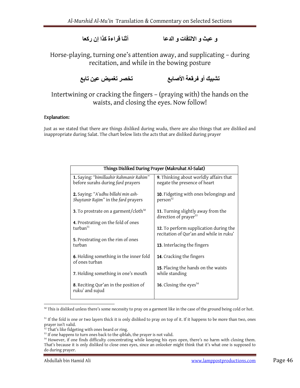و عبث و ا0لتفات و الدعا أثنا قراءة کذا إن رکعا

Horse-playing, turning one's attention away, and supplicating – during recitation, and while in the bowing posture

تشبيك أو فرقعة الأصابع تخصر تغميض عين تابع

Intertwining or cracking the fingers – (praying with) the hands on the waists, and closing the eyes. Now follow!

### Explanation:

Just as we stated that there are things disliked during wudu, there are also things that are disliked and inappropriate during Salat. The chart below lists the acts that are disliked during prayer

| Things Disliked During Prayer (Makruhat Al-Salat)                            |                                                                                   |  |  |
|------------------------------------------------------------------------------|-----------------------------------------------------------------------------------|--|--|
| 1. Saying: "bimillaahir Rahmanir Rahim"<br>before surahs during fard prayers | 9. Thinking about worldly affairs that<br>negate the presence of heart            |  |  |
| 2. Saying: "A'udhu billahi min ash-<br>Shaytanir Rajim" in the fard prayers  | 10. Fidgeting with ones belongings and<br>person <sup>52</sup>                    |  |  |
| <b>3.</b> To prostrate on a garment/cloth <sup>50</sup>                      | 11. Turning slightly away from the<br>direction of prayer <sup>53</sup>           |  |  |
| 4. Prostrating on the fold of ones<br>turban <sup>51</sup>                   | 12. To perform supplication during the<br>recitation of Qur'an and while in ruku' |  |  |
| 5. Prostrating on the rim of ones<br>turban                                  | 13. Interlacing the fingers                                                       |  |  |
| 6. Holding something in the inner fold<br>of ones turban                     | 14. Cracking the fingers                                                          |  |  |
| 7. Holding something in one's mouth                                          | 15. Placing the hands on the waists<br>while standing                             |  |  |
| <b>8.</b> Reciting Qur'an in the position of<br>ruku' and sujud              | <b>16.</b> Closing the eyes <sup>54</sup>                                         |  |  |

 $50$  This is disliked unless there's some necessity to pray on a garment like in the case of the ground being cold or hot.

 $51$  If the fold is one or two layers thick it is only disliked to pray on top of it. If it happens to be more than two, ones prayer isn't valid.

<sup>&</sup>lt;sup>52</sup> That's like fidgeting with ones beard or ring.

 $53$  If one happens to turn ones back to the qiblah, the prayer is not valid.

<sup>&</sup>lt;sup>54</sup> However, if one finds difficulty concentrating while keeping his eyes open, there's no harm with closing them. That's because it is only disliked to close ones eyes, since an onlooker might think that it's what one is supposed to do during prayer.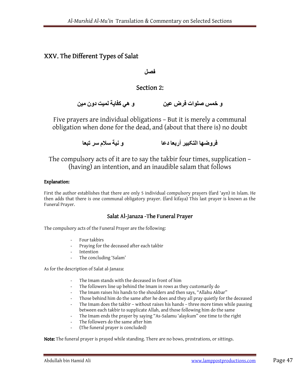## XXV. The Different Types of Salat

### فصل

### Section 2:

و خمس صلوات فرض عين و ھي كفاية لميت دون مين

Five prayers are individual obligations – But it is merely a communal obligation when done for the dead, and (about that there is) no doubt

فروضها التكبير أربعا دعا و سلام سر تبعا و نية سلام سر تبعا

The compulsory acts of it are to say the takbir four times, supplication – (having) an intention, and an inaudible salam that follows

### Explanation:

First the author establishes that there are only 5 individual compulsory prayers (fard 'ayn) in Islam. He then adds that there is one communal obligatory prayer. (fard kifaya) This last prayer is known as the Funeral Prayer.

### Salat Al-Janaza -The Funeral Prayer

The compulsory acts of the Funeral Prayer are the following:

- Four takbirs
- Praying for the deceased after each takbir
- **Intention**
- The concluding 'Salam'

As for the description of Salat al-Janaza:

- The Imam stands with the deceased in front of him
- The followers line up behind the Imam in rows as they customarily do
- The Imam raises his hands to the shoulders and then says, "Allahu Akbar"
- Those behind him do the same after he does and they all pray quietly for the deceased
- The Imam does the takbir without raises his hands three more times while pausing between each takbir to supplicate Allah, and those following him do the same
- The Imam ends the prayer by saying "As-Salamu 'alaykum" one time to the right
- The followers do the same after him
- (The funeral prayer is concluded)

Note: The funeral prayer is prayed while standing. There are no bows, prostrations, or sittings.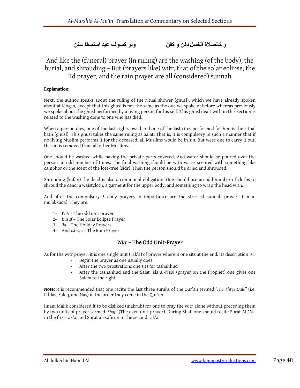## و كالصلاة الغسل دفن و كفن مستسمى وتر كسوف عيد استسقا سنن

## And like the (funeral) prayer (in ruling) are the washing (of the body), the burial, and shrouding – But (prayers like) witr, that of the solar eclipse, the 'Id prayer, and the rain prayer are all (considered) sunnah

### Explanation:

Next, the author speaks about the ruling of the ritual shower (ghusl), which we have already spoken about at length, except that this ghusl is not the same as the one we spoke of before whereas previously we spoke about the ghusl performed by a living person for his self. This ghusl dealt with in this section is related to the washing done to one who has died.

When a person dies, one of the last rights owed and one of the last rites performed for him is the ritual bath (ghusl). This ghusl takes the same ruling as Salat. That is, it is compulsory in such a manner that if no living Muslim performs it for the deceased, all Muslims would be in sin. But were one to carry it out, the sin is removed from all other Muslims.

One should be washed while having the private parts covered. And water should be poured over the person an odd number of times. The final washing should be with water scented with something like camphor or the scent of the lote-tree (sidr). Then the person should be dried and shrouded.

Shrouding (kafan) the dead is also a communal obligation. One should use an odd number of cloths to shroud the dead: a waistcloth, a garment for the upper body, and something to wrap the head with.

And after the compulsory 5 daily prayers in importance are the stressed sunnah prayers (sunan mu'akkada). They are:

- 1- Witr The odd unit prayer
- 2- Kusuf The Solar Eclipse Prayer
- 3- 'Id The Holiday Prayers
- 4- And Istisqa The Rain Prayer

### Witr - The Odd Unit-Prayer

As for the witr prayer, it is one single unit (rak'a) of prayer wherein one sits at the end. Its description is:

- Begin the prayer as one usually does
- After the two prostrations one sits for tashahhud
- After the tashahhud and the Salat 'ala al-Nabi (prayer on the Prophet) one gives one Salam to the right

Note: It is recommended that one recite the last three surahs of the Qur'an termed 'The Three Quls" (i.e. Ikhlas, Falaq, and Nas) in the order they come in the Qur'an.

Imam Malik considered it to be disliked (makruh) for one to pray the witr alone without preceding them by two units of prayer termed 'Shaf'' (The even unit-prayer). During Shaf' one should recite Surat Al-'Ala in the first rak'a, and Surat al-Kafirun in the second rak'a.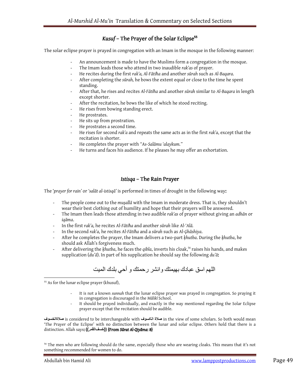## Kusuf – The Prayer of the Solar Eclipse<sup>55</sup>

The solar eclipse prayer is prayed in congregation with an Imam in the mosque in the following manner:

- An announcement is made to have the Muslims form a congregation in the mosque.
- The Imam leads those who attend in two inaudible rak'as of prayer.
- He recites during the first rak'a, Al-Fātiħa and another sūrah such as Al-Baqara.
- After completing the sūrah, he bows the extent equal or close to the time he spent standing.
- After that, he rises and recites Al-Fātiħa and another sūrah similar to Al-Baqara in length except shorter.
- After the recitation, he bows the like of which he stood reciting.
- He rises from bowing standing erect.
- He prostrates.
- He sits up from prostration.
- He prostrates a second time.
- He rises for second rak'a and repeats the same acts as in the first rak'a, except that the recitation is shorter.
- He completes the prayer with "As-Salāmu 'alaykum."
- He turns and faces his audience. If he pleases he may offer an exhortation.

### Istisqa – The Rain Prayer

The 'prayer for rain' or 'salāt al-istisqā' is performed in times of drought in the following way:

- The people come out to the musalla with the Imam in moderate dress. That is, they shouldn't wear their best clothing out of humility and hope that their prayers will be answered.
- The Imam then leads those attending in two audible rak'as of prayer without giving an adhān or iqāma.
- In the first rak'a, he recites Al-Fātiħa and another sūrah like Al-'Alā.
- In the second rak'a, he recites Al-Fātiħa and a sūrah such as Al-Ģhāshiya.
- After he completes the prayer, the Imam delivers a two-part khutba. During the khutba, he should ask Allah's forgiveness much.
- After delivering the khutba, he faces the qibla, inverts his cloak,<sup>56</sup> raises his hands, and makes supplication (du'ā). In part of his supplication he should say the following du' $\bar{a}$ :

اللھم اسق عبادك بھيمتك وانشر رحمتك و أحي بلدك الميت

<sup>55</sup> As for the lunar eclipse prayer (khusuf),

 $\overline{a}$ 

- It is not a known sunnah that the lunar eclipse prayer was prayed in congregation. So praying it in congregation is discouraged in the Mālikī School.
- It should be prayed individually, and exactly in the way mentioned regarding the Solar Eclipse prayer except that the recitation should be audible.

is considered to be interchangeable with صلاة الكسوف in the view of some scholars. So both would mean صلاةالخسوف 'The Prayer of the Eclipse' with no distinction between the lunar and solar eclipse. Others hold that there is a distinction. Allah says: ((خسفالقمر)) {From Sūrat Al-Qiyāma: 8}

<sup>56</sup> The men who are following should do the same, especially those who are wearing cloaks. This means that it's not something recommended for women to do.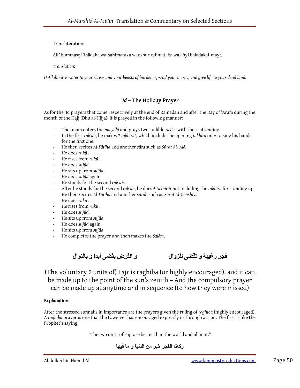### Transliteration:

Allāhummasqi 'ibādaka wa bahimataka wanshur raħmataka wa aħyi baladakal-mayt.

Translation:

O Allah! Give water to your slaves and your beasts of burden, spread your mercy, and give life to your dead land.

### $'d$  – The Holiday Prayer

As for the 'Id prayers that come respectively at the end of Ramadan and after the Day of 'Arafa during the month of the Hajj (Dhu al-Hijja), it is prayed in the following manner:

- The Imam enters the mușallā and prays two audible rak'as with those attending.
- In the first rak'ah, he makes 7 takbīrāt, which include the opening takbīra only raising his hands for the first one.
- He then recites Al-Fātiħa and another sūra such as Sūrat Al-'Alā.
- He does rukū'.
- He rises from rukū'.
- He does sujūd.
- He sits up from sujūd.
- He does sujūd again.
- He stands for the second rak'ah.
- After he stands for the second rak'ah, he does 5 takbīrāt not including the takbīra for standing up.
- He then recites Al-Fātiħa and another sūrah such as Sūrat Al-Ģhāshiya.
- He does rukū'.
- He rises from rukū'.
- He does suiūd.
- He sits up from sujūd.
- He does sujūd again.
- He sits up from sujūd
- He completes the prayer and then makes the Salām.

فجر رغيبة و تقضى للزوال و الفرض يقضى أبدا و بالتوال



(The voluntary 2 units of) Fajr is raghiba (or highly encouraged), and it can be made up to the point of the sun's zenith – And the compulsory prayer can be made up at anytime and in sequence (to how they were missed)

### Explanation:

After the stressed sunnahs in importance are the prayers given the ruling of raghiba (highly encouraged). A raghiba prayer is one that the Lawgiver has encouraged expressly or through action. The first is like the Prophet's saying:

"The two units of Fajr are better than the world and all in it."

ركعتا الفجر خير من الدنيا و ما فيھا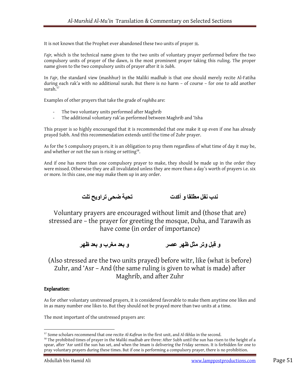It is not known that the Prophet ever abandoned these two units of prayer  $\ddot{\hspace{0.1cm}}$  .

Fajr, which is the technical name given to the two units of voluntary prayer performed before the two compulsory units of prayer of the dawn, is the most prominent prayer taking this ruling. The proper name given to the two compulsory units of prayer after it is Subh.

In Fajr, the standard view (mashhur) in the Maliki madhab is that one should merely recite Al-Fatiha during each rak'a with no additional surah. But there is no harm – of course – for one to add another surah. $57$ 

Examples of other prayers that take the grade of raghiba are:

- The two voluntary units performed after Maghrib
- The additional voluntary rak'as performed between Maghrib and 'Isha

This prayer is so highly encouraged that it is recommended that one make it up even if one has already prayed Subh. And this recommendation extends until the time of Zuhr prayer.

As for the 5 compulsory prayers, it is an obligation to pray them regardless of what time of day it may be, and whether or not the sun is rising or setting<sup>58</sup>.

And if one has more than one compulsory prayer to make, they should be made up in the order they were missed. Otherwise they are all invalidated unless they are more than a day's worth of prayers i.e. six or more. In this case, one may make them up in any order.

ندب نفل مطلقا و أکدت تحية ضحى تراويح تلت

Voluntary prayers are encouraged without limit and (those that are) stressed are – the prayer for greeting the mosque, Duha, and Tarawih as have come (in order of importance)

و قبل وتر مثل ظھر عصر و بعد مغرب و بعد ظھر

(Also stressed are the two units prayed) before witr, like (what is before) Zuhr, and 'Asr – And (the same ruling is given to what is made) after Maghrib, and after Zuhr

### Explanation:

 $\overline{a}$ 

As for other voluntary unstressed prayers, it is considered favorable to make them anytime one likes and in as many number one likes to. But they should not be prayed more than two units at a time.

The most important of the unstressed prayers are:

<sup>&</sup>lt;sup>57</sup> Some scholars recommend that one recite Al-Kafirun in the first unit, and Al-Ikhlas in the second.

<sup>&</sup>lt;sup>58</sup> The prohibited times of prayer in the Maliki madhab are three: After Subh until the sun has risen to the height of a spear, after 'Asr until the sun has set, and when the Imam is delivering the Friday sermon. It is forbidden for one to pray voluntary prayers during these times. But if one is performing a compulsory prayer, there is no prohibition.